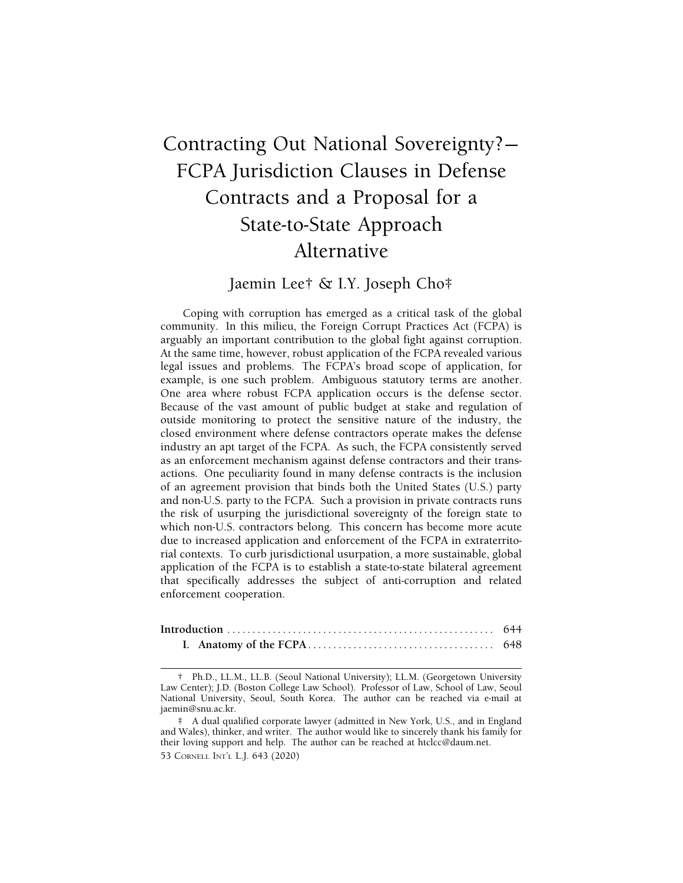# Contracting Out National Sovereignty?— FCPA Jurisdiction Clauses in Defense Contracts and a Proposal for a State-to-State Approach Alternative

# Jaemin Lee† & I.Y. Joseph Cho‡

Coping with corruption has emerged as a critical task of the global community. In this milieu, the Foreign Corrupt Practices Act (FCPA) is arguably an important contribution to the global fight against corruption. At the same time, however, robust application of the FCPA revealed various legal issues and problems. The FCPA's broad scope of application, for example, is one such problem. Ambiguous statutory terms are another. One area where robust FCPA application occurs is the defense sector. Because of the vast amount of public budget at stake and regulation of outside monitoring to protect the sensitive nature of the industry, the closed environment where defense contractors operate makes the defense industry an apt target of the FCPA. As such, the FCPA consistently served as an enforcement mechanism against defense contractors and their transactions. One peculiarity found in many defense contracts is the inclusion of an agreement provision that binds both the United States (U.S.) party and non-U.S. party to the FCPA. Such a provision in private contracts runs the risk of usurping the jurisdictional sovereignty of the foreign state to which non-U.S. contractors belong. This concern has become more acute due to increased application and enforcement of the FCPA in extraterritorial contexts. To curb jurisdictional usurpation, a more sustainable, global application of the FCPA is to establish a state-to-state bilateral agreement that specifically addresses the subject of anti-corruption and related enforcement cooperation.

<sup>†</sup> Ph.D., LL.M., LL.B. (Seoul National University); LL.M. (Georgetown University Law Center); J.D. (Boston College Law School). Professor of Law, School of Law, Seoul National University, Seoul, South Korea. The author can be reached via e-mail at [jaemin@snu.ac.kr.](mailto:jaemin@snu.ac.kr)

<sup>‡</sup> A dual qualified corporate lawyer (admitted in New York, U.S., and in England and Wales), thinker, and writer. The author would like to sincerely thank his family for their loving support and help. The author can be reached at [htclcc@daum.net](mailto:htclcc@daum.net). 53 CORNELL INT'L L.J. 643 (2020)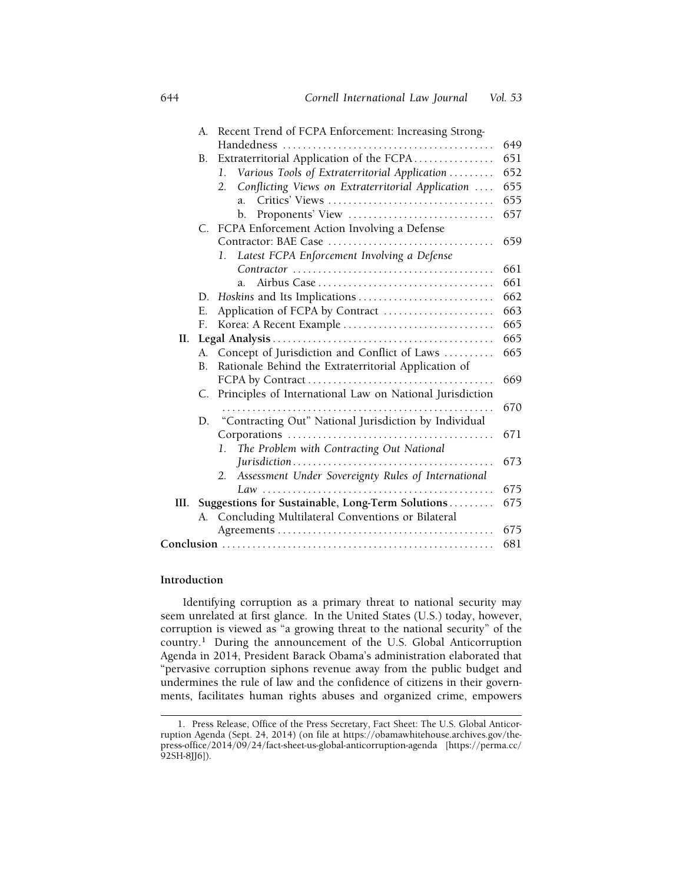|    | A.            | Recent Trend of FCPA Enforcement: Increasing Strong-      |     |
|----|---------------|-----------------------------------------------------------|-----|
|    |               |                                                           | 649 |
|    | Β.            | Extraterritorial Application of the FCPA                  | 651 |
|    |               | Various Tools of Extraterritorial Application<br>$1_{-}$  | 652 |
|    |               | Conflicting Views on Extraterritorial Application<br>2.   | 655 |
|    |               | a.                                                        | 655 |
|    |               | Proponents' View<br>b.                                    | 657 |
|    | $\mathcal{C}$ | FCPA Enforcement Action Involving a Defense               |     |
|    |               |                                                           | 659 |
|    |               | Latest FCPA Enforcement Involving a Defense<br>$1_{-}$    |     |
|    |               |                                                           | 661 |
|    |               | $a_{-}$                                                   | 661 |
|    | D.            |                                                           | 662 |
|    | Е.            | Application of FCPA by Contract                           | 663 |
|    | F.            |                                                           | 665 |
| П. |               |                                                           | 665 |
|    | А.            | Concept of Jurisdiction and Conflict of Laws              | 665 |
|    | <b>B.</b>     | Rationale Behind the Extraterritorial Application of      |     |
|    |               |                                                           | 669 |
|    | C.            | Principles of International Law on National Jurisdiction  |     |
|    |               |                                                           | 670 |
|    | D.            | "Contracting Out" National Jurisdiction by Individual     |     |
|    |               |                                                           | 671 |
|    |               | The Problem with Contracting Out National<br>$1_{\cdot}$  |     |
|    |               | Jurisdiction                                              | 673 |
|    |               | Assessment Under Sovereignty Rules of International<br>2. |     |
|    |               |                                                           | 675 |
|    |               | III. Suggestions for Sustainable, Long-Term Solutions     | 675 |
|    |               | A. Concluding Multilateral Conventions or Bilateral       |     |
|    |               |                                                           | 675 |
|    |               |                                                           | 681 |

# **Introduction**

Identifying corruption as a primary threat to national security may seem unrelated at first glance. In the United States (U.S.) today, however, corruption is viewed as "a growing threat to the national security" of the country.1 During the announcement of the U.S. Global Anticorruption Agenda in 2014, President Barack Obama's administration elaborated that "pervasive corruption siphons revenue away from the public budget and undermines the rule of law and the confidence of citizens in their governments, facilitates human rights abuses and organized crime, empowers

<sup>1.</sup> Press Release, Office of the Press Secretary, Fact Sheet: The U.S. Global Anticorruption Agenda (Sept. 24, 2014) (on file at <https://obamawhitehouse.archives.gov/the>press-office/2014/09/24/fact-sheet-us-global-anticorruption-agenda [\[https://perma.cc](https://perma.cc)/ 92SH-8JJ6]).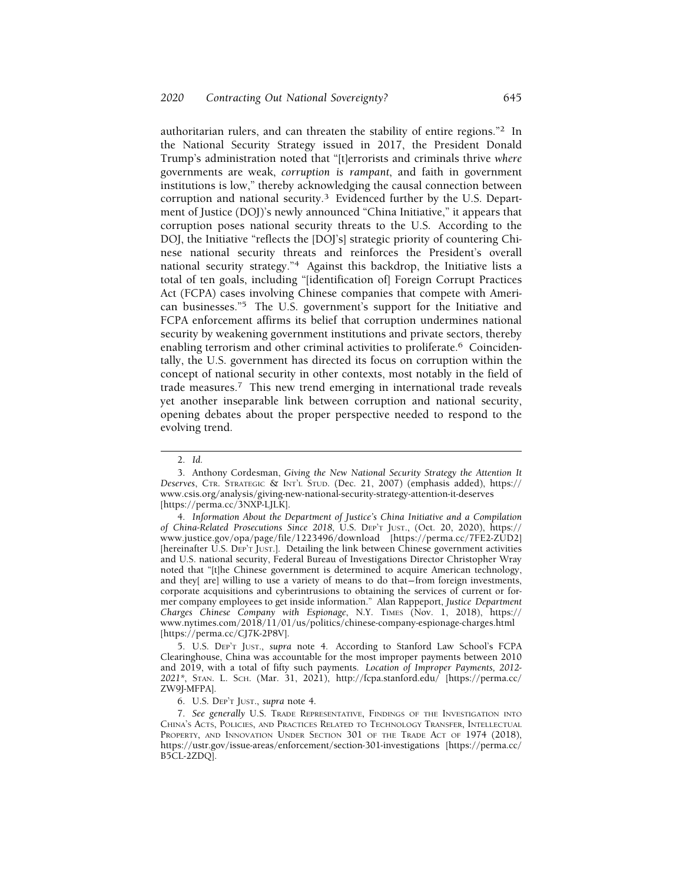authoritarian rulers, and can threaten the stability of entire regions."2 In the National Security Strategy issued in 2017, the President Donald Trump's administration noted that "[t]errorists and criminals thrive *where*  governments are weak, *corruption is rampant*, and faith in government institutions is low," thereby acknowledging the causal connection between corruption and national security.3 Evidenced further by the U.S. Department of Justice (DOJ)'s newly announced "China Initiative," it appears that corruption poses national security threats to the U.S. According to the DOJ, the Initiative "reflects the [DOJ's] strategic priority of countering Chinese national security threats and reinforces the President's overall national security strategy."4 Against this backdrop, the Initiative lists a total of ten goals, including "[identification of] Foreign Corrupt Practices Act (FCPA) cases involving Chinese companies that compete with American businesses."5 The U.S. government's support for the Initiative and FCPA enforcement affirms its belief that corruption undermines national security by weakening government institutions and private sectors, thereby enabling terrorism and other criminal activities to proliferate.<sup>6</sup> Coincidentally, the U.S. government has directed its focus on corruption within the concept of national security in other contexts, most notably in the field of trade measures.7 This new trend emerging in international trade reveals yet another inseparable link between corruption and national security, opening debates about the proper perspective needed to respond to the evolving trend.

5. U.S. DEP'T JUST., *supra* note 4. According to Stanford Law School's FCPA Clearinghouse, China was accountable for the most improper payments between 2010 and 2019, with a total of fifty such payments. *Location of Improper Payments, 2012- 2021\**, STAN. L. SCH. (Mar. 31, 2021), <http://fcpa.stanford.edu>/ [\[https://perma.cc](https://perma.cc)/ ZW9J-MFPA].

6. U.S. DEP'T JUST., *supra* note 4.

7. *See generally* U.S. TRADE REPRESENTATIVE, FINDINGS OF THE INVESTIGATION INTO CHINA'S ACTS, POLICIES, AND PRACTICES RELATED TO TECHNOLOGY TRANSFER, INTELLECTUAL PROPERTY, AND INNOVATION UNDER SECTION 301 OF THE TRADE ACT OF 1974 (2018), <https://ustr.gov/issue-areas/enforcement/section-301-investigations> [\[https://perma.cc](https://perma.cc)/ B5CL-2ZDQ].

<sup>2.</sup> *Id.* 

<sup>3.</sup> Anthony Cordesman, *Giving the New National Security Strategy the Attention It Deserves*, CTR. STRATEGIC & INT'L STUD. (Dec. 21, 2007) (emphasis added), https:// <www.csis.org/analysis/giving-new-national-security-strategy-attention-it-deserves> [<https://perma.cc/3NXP-LJLK>].

<sup>4.</sup> *Information About the Department of Justice's China Initiative and a Compilation of China-Related Prosecutions Since 2018*, U.S. DEP'T JUST., (Oct. 20, 2020), https:// <www.justice.gov/opa/page/file/1223496/download>[<https://perma.cc/7FE2-ZUD2>] [hereinafter U.S. DEP'T JUST.]. Detailing the link between Chinese government activities and U.S. national security, Federal Bureau of Investigations Director Christopher Wray noted that "[t]he Chinese government is determined to acquire American technology, and they[ are] willing to use a variety of means to do that— from foreign investments, corporate acquisitions and cyberintrusions to obtaining the services of current or former company employees to get inside information." Alan Rappeport, *Justice Department Charges Chinese Company with Espionage*, N.Y. TIMES (Nov. 1, 2018), https:// <www.nytimes.com/2018/11/01/us/politics/chinese-company-espionage-charges.html> [[https://perma.cc/CJ7K-2P8V\]](https://perma.cc/CJ7K-2P8V).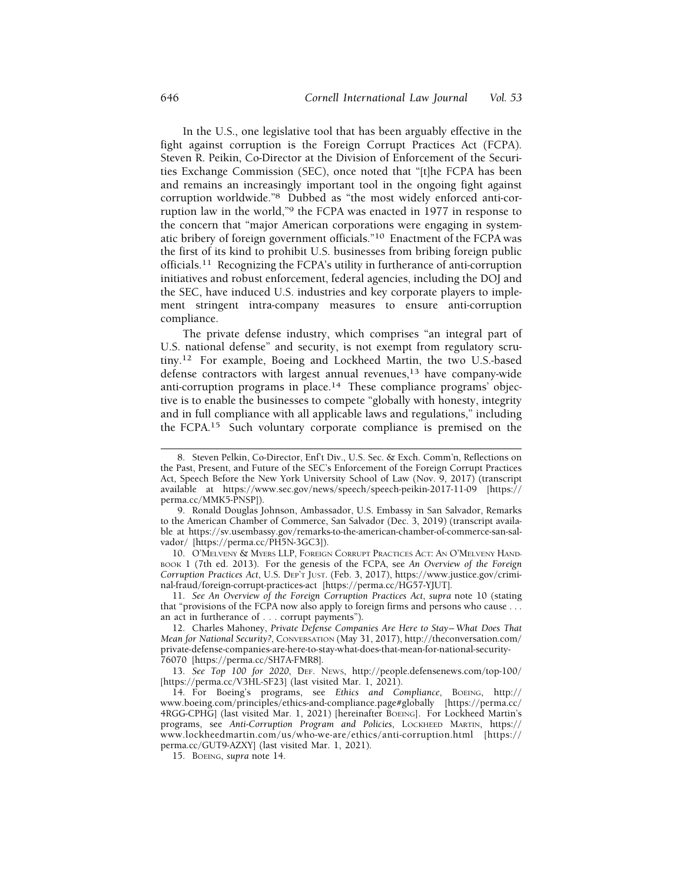In the U.S., one legislative tool that has been arguably effective in the fight against corruption is the Foreign Corrupt Practices Act (FCPA). Steven R. Peikin, Co-Director at the Division of Enforcement of the Securities Exchange Commission (SEC), once noted that "[t]he FCPA has been and remains an increasingly important tool in the ongoing fight against corruption worldwide."8 Dubbed as "the most widely enforced anti-corruption law in the world,"9 the FCPA was enacted in 1977 in response to the concern that "major American corporations were engaging in systematic bribery of foreign government officials."10 Enactment of the FCPA was the first of its kind to prohibit U.S. businesses from bribing foreign public [officials.](https://officials.11)11 Recognizing the FCPA's utility in furtherance of anti-corruption initiatives and robust enforcement, federal agencies, including the DOJ and the SEC, have induced U.S. industries and key corporate players to implement stringent intra-company measures to ensure anti-corruption compliance.

The private defense industry, which comprises "an integral part of U.S. national defense" and security, is not exempt from regulatory scrutiny.12 For example, Boeing and Lockheed Martin, the two U.S.-based defense contractors with largest annual revenues,<sup>13</sup> have company-wide anti-corruption programs in [place.](https://place.14)<sup>14</sup> These compliance programs' objective is to enable the businesses to compete "globally with honesty, integrity and in full compliance with all applicable laws and regulations," including the FCPA.15 Such voluntary corporate compliance is premised on the

15. BOEING, *supra* note 14.

<sup>8.</sup> Steven Pelkin, Co-Director, Enf't Div., U.S. Sec. & Exch. Comm'n, Reflections on the Past, Present, and Future of the SEC's Enforcement of the Foreign Corrupt Practices Act, Speech Before the New York University School of Law (Nov. 9, 2017) (transcript available at <https://www.sec.gov/news/speech/speech-peikin-2017-11-09>[https:// perma.cc/MMK5-PNSP]).

<sup>9.</sup> Ronald Douglas Johnson, Ambassador, U.S. Embassy in San Salvador, Remarks to the American Chamber of Commerce, San Salvador (Dec. 3, 2019) (transcript available at <https://sv.usembassy.gov/remarks-to-the-american-chamber-of-commerce-san-sal>vador/ [\[https://perma.cc/PH5N-3GC3](https://perma.cc/PH5N-3GC3)]).

<sup>10.</sup> O'MELVENY & MYERS LLP, FOREIGN CORRUPT PRACTICES ACT: AN O'MELVENY HAND-BOOK 1 (7th ed. 2013). For the genesis of the FCPA, see *An Overview of the Foreign Corruption Practices Act*, U.S. DEP'T JUST. (Feb. 3, 2017), <https://www.justice.gov/crimi>nal-fraud/foreign-corrupt-practices-act [<https://perma.cc/HG57-YJUT>].

<sup>11.</sup> *See An Overview of the Foreign Corruption Practices Act*, *supra* note 10 (stating that "provisions of the FCPA now also apply to foreign firms and persons who cause . . . an act in furtherance of . . . corrupt payments").

<sup>12.</sup> Charles Mahoney, *Private Defense Companies Are Here to Stay— What Does That Mean for National Security?*, CONVERSATION (May 31, 2017),<http://theconversation.com>/ private-defense-companies-are-here-to-stay-what-does-that-mean-for-national-security-76070 [[https://perma.cc/SH7A-FMR8\]](https://perma.cc/SH7A-FMR8).

<sup>13.</sup> *See Top 100 for 2020*, DEF. NEWS, <http://people.defensenews.com/top-100>/ [[https://perma.cc/V3HL-SF23\]](https://perma.cc/V3HL-SF23) (last visited Mar. 1, 2021).

<sup>14.</sup> For Boeing's programs, see *Ethics and Compliance*, BOEING, http:// <www.boeing.com/principles/ethics-and-compliance.page#globally>[<https://perma.cc>/ 4RGG-CPHG] (last visited Mar. 1, 2021) [hereinafter BOEING]. For Lockheed Martin's programs, see *Anti-Corruption Program and Policies*, LOCKHEED MARTIN, https:// <www.lockheedmartin.com/us/who-we-are/ethics/anti-corruption.html> [https:// perma.cc/GUT9-AZXY] (last visited Mar. 1, 2021).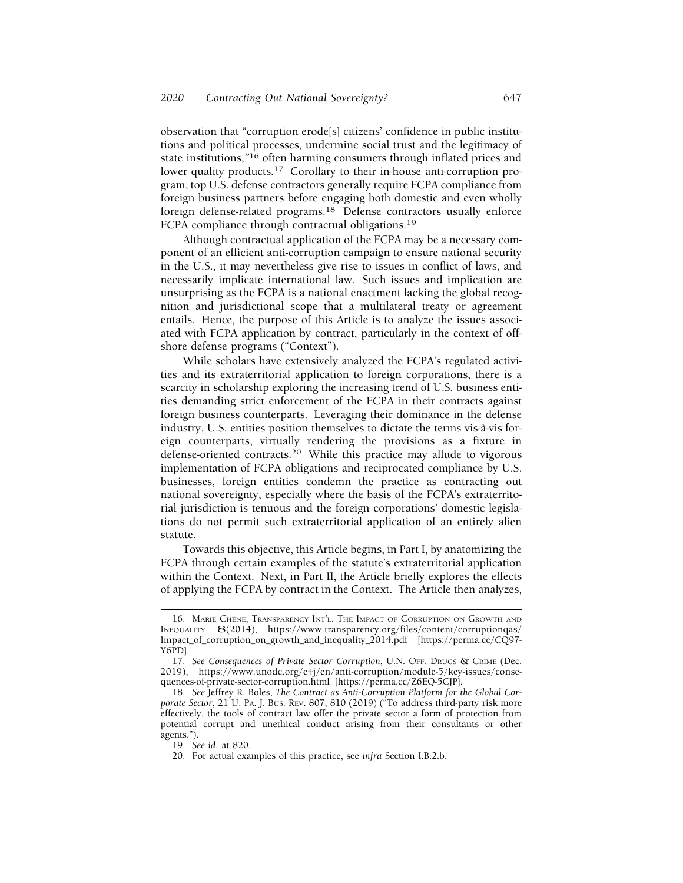observation that "corruption erode[s] citizens' confidence in public institutions and political processes, undermine social trust and the legitimacy of state institutions,*"*16 often harming consumers through inflated prices and lower quality products.<sup>17</sup> Corollary to their in-house anti-corruption program, top U.S. defense contractors generally require FCPA compliance from foreign business partners before engaging both domestic and even wholly foreign defense-related programs.<sup>18</sup> Defense contractors usually enforce FCPA compliance through contractual [obligations.19](https://obligations.19)

Although contractual application of the FCPA may be a necessary component of an efficient anti-corruption campaign to ensure national security in the U.S., it may nevertheless give rise to issues in conflict of laws, and necessarily implicate international law. Such issues and implication are unsurprising as the FCPA is a national enactment lacking the global recognition and jurisdictional scope that a multilateral treaty or agreement entails. Hence, the purpose of this Article is to analyze the issues associated with FCPA application by contract, particularly in the context of offshore defense programs ("Context").

While scholars have extensively analyzed the FCPA's regulated activities and its extraterritorial application to foreign corporations, there is a scarcity in scholarship exploring the increasing trend of U.S. business entities demanding strict enforcement of the FCPA in their contracts against foreign business counterparts. Leveraging their dominance in the defense industry, U.S. entities position themselves to dictate the terms vis- $\dot{a}$ -vis foreign counterparts, virtually rendering the provisions as a fixture in defense-oriented [contracts.20](https://contracts.20) While this practice may allude to vigorous implementation of FCPA obligations and reciprocated compliance by U.S. businesses, foreign entities condemn the practice as contracting out national sovereignty, especially where the basis of the FCPA's extraterritorial jurisdiction is tenuous and the foreign corporations' domestic legislations do not permit such extraterritorial application of an entirely alien statute.

Towards this objective, this Article begins, in Part I, by anatomizing the FCPA through certain examples of the statute's extraterritorial application within the Context. Next, in Part II, the Article briefly explores the effects of applying the FCPA by contract in the Context. The Article then analyzes,

<sup>16.</sup> MARIE CHÊNE, TRANSPARENCY INT'L, THE IMPACT OF CORRUPTION ON GROWTH AND INEQUALITY 8(2014), <https://www.transparency.org/files/content/corruptionqas>/ Impact\_of\_corruption\_on\_growth\_and\_inequality\_2014.pdf [\[https://perma.cc/CQ97-](https://perma.cc/CQ97) Y6PD].

<sup>17.</sup> *See Consequences of Private Sector Corruption*, U.N. OFF. DRUGS & CRIME (Dec. 2019), <https://www.unodc.org/e4j/en/anti-corruption/module-5/key-issues/conse>quences-of-private-sector-corruption.html [<https://perma.cc/Z6EQ-5CJP>].

<sup>18.</sup> *See* Jeffrey R. Boles, *The Contract as Anti-Corruption Platform for the Global Corporate Sector*, 21 U. PA. J. BUS. REV. 807, 810 (2019) ("To address third-party risk more effectively, the tools of contract law offer the private sector a form of protection from potential corrupt and unethical conduct arising from their consultants or other agents.").

<sup>19.</sup> *See id.* at 820.

<sup>20.</sup> For actual examples of this practice, see *infra* Section I.B.2.b.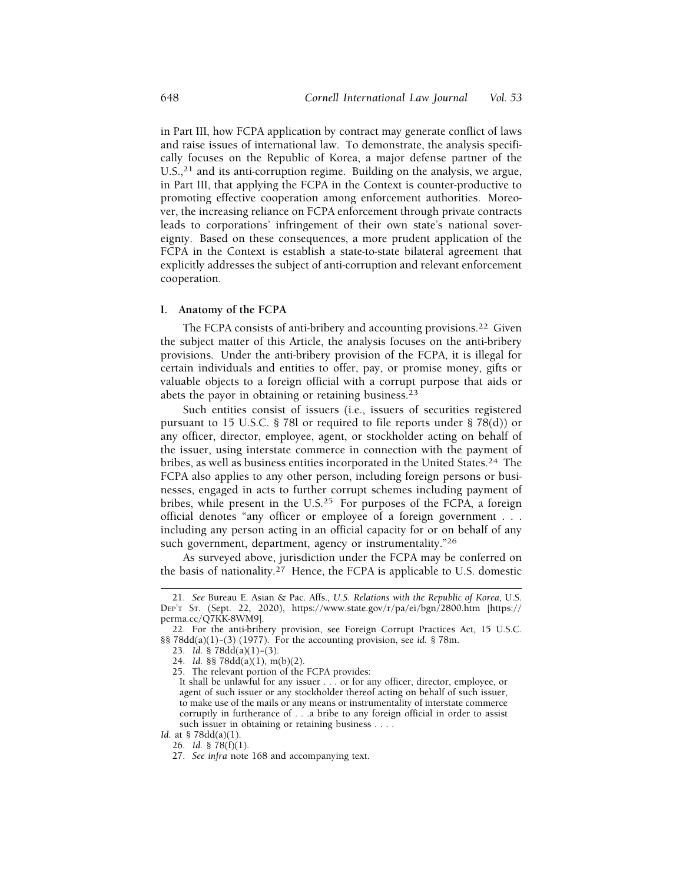in Part III, how FCPA application by contract may generate conflict of laws and raise issues of international law. To demonstrate, the analysis specifically focuses on the Republic of Korea, a major defense partner of the U.S.,<sup>21</sup> and its anti-corruption regime. Building on the analysis, we argue, in Part III, that applying the FCPA in the Context is counter-productive to promoting effective cooperation among enforcement authorities. Moreover, the increasing reliance on FCPA enforcement through private contracts leads to corporations' infringement of their own state's national sovereignty. Based on these consequences, a more prudent application of the FCPA in the Context is establish a state-to-state bilateral agreement that explicitly addresses the subject of anti-corruption and relevant enforcement cooperation.

#### **I. Anatomy of the FCPA**

The FCPA consists of anti-bribery and accounting provisions.<sup>22</sup> Given the subject matter of this Article, the analysis focuses on the anti-bribery provisions. Under the anti-bribery provision of the FCPA, it is illegal for certain individuals and entities to offer, pay, or promise money, gifts or valuable objects to a foreign official with a corrupt purpose that aids or abets the payor in obtaining or retaining business.<sup>23</sup>

Such entities consist of issuers (i.e., issuers of securities registered pursuant to 15 U.S.C. § 78l or required to file reports under § 78(d)) or any officer, director, employee, agent, or stockholder acting on behalf of the issuer, using interstate commerce in connection with the payment of bribes, as well as business entities incorporated in the United States.<sup>24</sup> The FCPA also applies to any other person, including foreign persons or businesses, engaged in acts to further corrupt schemes including payment of bribes, while present in the U.S.<sup>25</sup> For purposes of the FCPA, a foreign official denotes "any officer or employee of a foreign government . . . including any person acting in an official capacity for or on behalf of any such government, department, agency or instrumentality."<sup>26</sup>

As surveyed above, jurisdiction under the FCPA may be conferred on the basis of [nationality.27](https://nationality.27) Hence, the FCPA is applicable to U.S. domestic

23. *Id.* § 78dd(a)(1)-(3).

24. *Id.* §§ 78dd(a)(1), m(b)(2).

25. The relevant portion of the FCPA provides:

<sup>21.</sup> *See* Bureau E. Asian & Pac. Affs., *U.S. Relations with the Republic of Korea*, U.S. DEP'T ST. (Sept. 22, 2020), <https://www.state.gov/r/pa/ei/bgn/2800.htm>[https:// perma.cc/Q7KK-8WM9].

<sup>22.</sup> For the anti-bribery provision, see Foreign Corrupt Practices Act, 15 U.S.C. §§ 78dd(a)(1)– (3) (1977). For the accounting provision, see *id.* § 78m.

It shall be unlawful for any issuer . . . or for any officer, director, employee, or agent of such issuer or any stockholder thereof acting on behalf of such issuer, to make use of the mails or any means or instrumentality of interstate commerce corruptly in furtherance of . . .a bribe to any foreign official in order to assist such issuer in obtaining or retaining business . . . .

*Id.* at § 78dd(a)(1).

<sup>26.</sup> *Id.* § 78(f)(1).

<sup>27.</sup> *See infra* note 168 and accompanying text.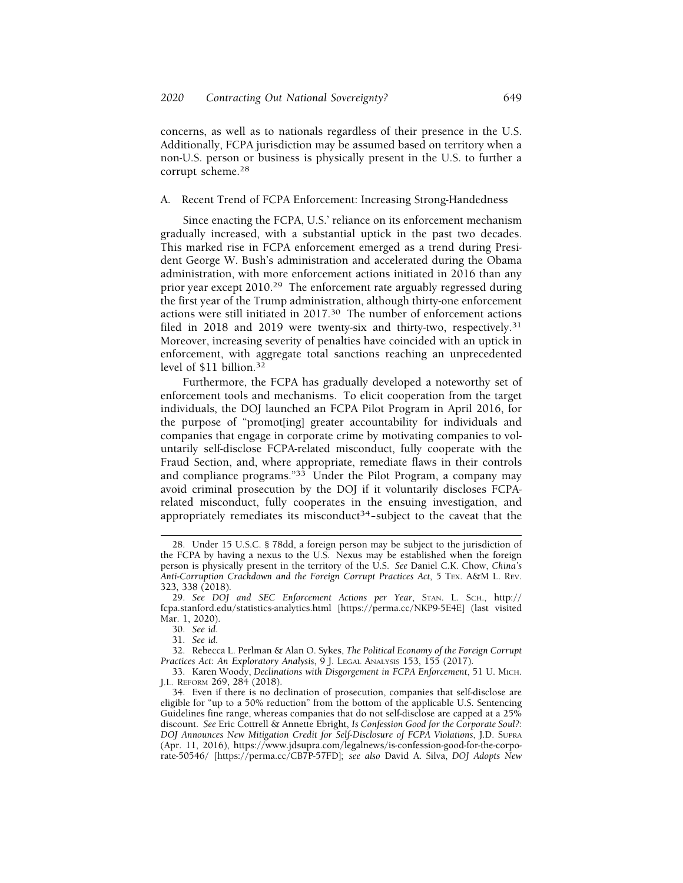concerns, as well as to nationals regardless of their presence in the U.S. Additionally, FCPA jurisdiction may be assumed based on territory when a non-U.S. person or business is physically present in the U.S. to further a corrupt scheme.<sup>28</sup>

### A. Recent Trend of FCPA Enforcement: Increasing Strong-Handedness

Since enacting the FCPA, U.S.' reliance on its enforcement mechanism gradually increased, with a substantial uptick in the past two decades. This marked rise in FCPA enforcement emerged as a trend during President George W. Bush's administration and accelerated during the Obama administration, with more enforcement actions initiated in 2016 than any prior year except 2010.<sup>29</sup> The enforcement rate arguably regressed during the first year of the Trump administration, although thirty-one enforcement actions were still initiated in 2017.30 The number of enforcement actions filed in 2018 and 2019 were twenty-six and thirty-two, respectively.<sup>31</sup> Moreover, increasing severity of penalties have coincided with an uptick in enforcement, with aggregate total sanctions reaching an unprecedented level of \$11 [billion.32](https://billion.32)

Furthermore, the FCPA has gradually developed a noteworthy set of enforcement tools and mechanisms. To elicit cooperation from the target individuals, the DOJ launched an FCPA Pilot Program in April 2016, for the purpose of "promot[ing] greater accountability for individuals and companies that engage in corporate crime by motivating companies to voluntarily self-disclose FCPA-related misconduct, fully cooperate with the Fraud Section, and, where appropriate, remediate flaws in their controls and compliance programs." $33$  Under the Pilot Program, a company may avoid criminal prosecution by the DOJ if it voluntarily discloses FCPArelated misconduct, fully cooperates in the ensuing investigation, and appropriately remediates its misconduct<sup>34</sup>-subject to the caveat that the

30. *See id.* 

31. *See id.* 

<sup>28.</sup> Under 15 U.S.C. § 78dd, a foreign person may be subject to the jurisdiction of the FCPA by having a nexus to the U.S. Nexus may be established when the foreign person is physically present in the territory of the U.S. *See* Daniel C.K. Chow, *China's Anti-Corruption Crackdown and the Foreign Corrupt Practices Act*, 5 TEX. A&M L. REV. 323, 338 (2018).

<sup>29.</sup> *See DOJ and SEC Enforcement Actions per Year*, STAN. L. SCH., http:// [fcpa.stanford.edu/statistics-analytics.html](https://fcpa.stanford.edu/statistics-analytics.html) [<https://perma.cc/NKP9-5E4E>] (last visited Mar. 1, 2020).

<sup>32.</sup> Rebecca L. Perlman & Alan O. Sykes, *The Political Economy of the Foreign Corrupt Practices Act: An Exploratory Analysis*, 9 J. LEGAL ANALYSIS 153, 155 (2017).

<sup>33.</sup> Karen Woody, *Declinations with Disgorgement in FCPA Enforcement*, 51 U. MICH. J.L. REFORM 269, 284 (2018).

<sup>34.</sup> Even if there is no declination of prosecution, companies that self-disclose are eligible for "up to a 50% reduction" from the bottom of the applicable U.S. Sentencing Guidelines fine range, whereas companies that do not self-disclose are capped at a 25% discount. *See* Eric Cottrell & Annette Ebright, *Is Confession Good for the Corporate Soul?: DOJ Announces New Mitigation Credit for Self-Disclosure of FCPA Violations*, J.D. SUPRA (Apr. 11, 2016), <https://www.jdsupra.com/legalnews/is-confession-good-for-the-corpo>rate-50546/ [<https://perma.cc/CB7P-57FD>]; *see also* David A. Silva, *DOJ Adopts New*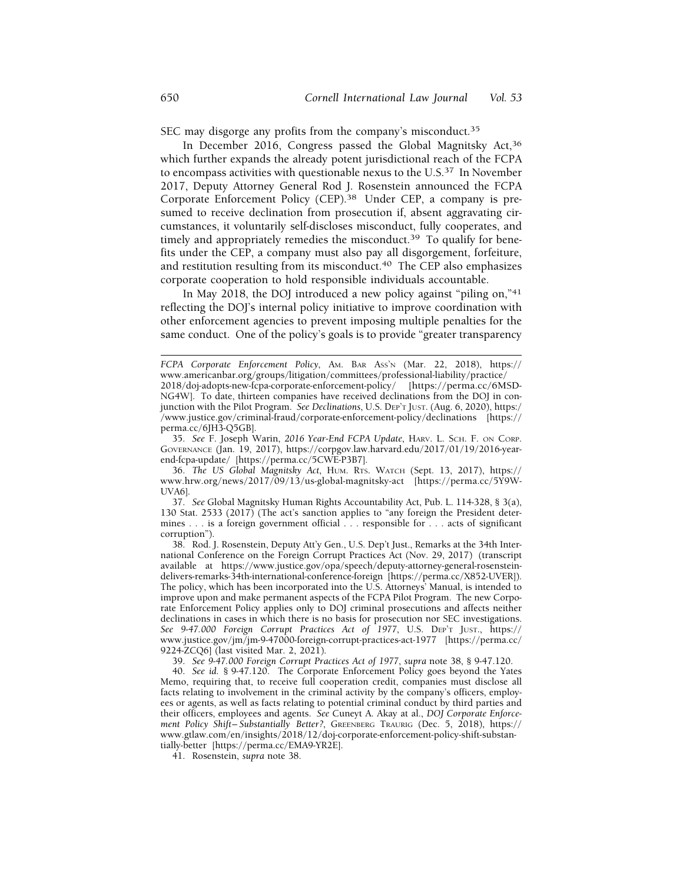SEC may disgorge any profits from the company's [misconduct.](https://misconduct.35)<sup>35</sup>

In December 2016, Congress passed the Global Magnitsky Act,<sup>36</sup> which further expands the already potent jurisdictional reach of the FCPA to encompass activities with questionable nexus to the U.S.37 In November 2017, Deputy Attorney General Rod J. Rosenstein announced the FCPA Corporate Enforcement Policy (CEP).38 Under CEP, a company is presumed to receive declination from prosecution if, absent aggravating circumstances, it voluntarily self-discloses misconduct, fully cooperates, and timely and appropriately remedies the misconduct.<sup>39</sup> To qualify for benefits under the CEP, a company must also pay all disgorgement, forfeiture, and restitution resulting from its [misconduct.](https://misconduct.40)<sup>40</sup> The CEP also emphasizes corporate cooperation to hold responsible individuals accountable.

In May 2018, the DOJ introduced a new policy against "piling on,"41 reflecting the DOJ's internal policy initiative to improve coordination with other enforcement agencies to prevent imposing multiple penalties for the same conduct. One of the policy's goals is to provide "greater transparency

37. *See* Global Magnitsky Human Rights Accountability Act, Pub. L. 114-328, § 3(a), 130 Stat. 2533 (2017) (The act's sanction applies to "any foreign the President determines . . . is a foreign government official . . . responsible for . . . acts of significant corruption").

38. Rod. J. Rosenstein, Deputy Att'y Gen., U.S. Dep't Just., Remarks at the 34th International Conference on the Foreign Corrupt Practices Act (Nov. 29, 2017) (transcript available at <https://www.justice.gov/opa/speech/deputy-attorney-general-rosenstein>delivers-remarks-34th-international-conference-foreign [\[https://perma.cc/X852-UVER](https://perma.cc/X852-UVER)]). The policy, which has been incorporated into the U.S. Attorneys' Manual, is intended to improve upon and make permanent aspects of the FCPA Pilot Program. The new Corporate Enforcement Policy applies only to DOJ criminal prosecutions and affects neither declinations in cases in which there is no basis for prosecution nor SEC investigations. *See 9-47.000 Foreign Corrupt Practices Act of 1977*, U.S. DEP'T JUST., https:// <www.justice.gov/jm/jm-9-47000-foreign-corrupt-practices-act-1977> [<https://perma.cc>/ 9224-ZCQ6] (last visited Mar. 2, 2021).

39. *See 9-47.000 Foreign Corrupt Practices Act of 1977*, *supra* note 38, § 9-47.120.

40. *See id.* § 9-47.120. The Corporate Enforcement Policy goes beyond the Yates Memo, requiring that, to receive full cooperation credit, companies must disclose all facts relating to involvement in the criminal activity by the company's officers, employees or agents, as well as facts relating to potential criminal conduct by third parties and their officers, employees and agents. *See* Cuneyt A. Akay at al., *DOJ Corporate Enforcement Policy Shift— Substantially Better?*, GREENBERG TRAURIG (Dec. 5, 2018), https:// <www.gtlaw.com/en/insights/2018/12/doj-corporate-enforcement-policy-shift-substan>tially-better [[https://perma.cc/EMA9-YR2E\]](https://perma.cc/EMA9-YR2E).

41. Rosenstein, *supra* note 38.

*FCPA Corporate Enforcement Policy*, AM. BAR ASS'N (Mar. 22, 2018), https:// <www.americanbar.org/groups/litigation/committees/professional-liability/practice>/ 2018/doj-adopts-new-fcpa-corporate-enforcement-policy/ [\[https://perma.cc/6MSD-](https://perma.cc/6MSD)NG4W]. To date, thirteen companies have received declinations from the DOJ in conjunction with the Pilot Program. *See Declinations*, U.S. DEP'T JUST. (Aug. 6, 2020), https:/ /<www.justice.gov/criminal-fraud/corporate-enforcement-policy/declinations> [https:// perma.cc/6JH3-Q5GB].

<sup>35.</sup> *See* F. Joseph Warin, *2016 Year-End FCPA Update*, HARV. L. SCH. F. ON CORP. GOVERNANCE (Jan. 19, 2017), <https://corpgov.law.harvard.edu/2017/01/19/2016-year>end-fcpa-update/ [<https://perma.cc/5CWE-P3B7>].

<sup>36.</sup> *The US Global Magnitsky Act*, HUM. RTS. WATCH (Sept. 13, 2017), https:// <www.hrw.org/news/2017/09/13/us-global-magnitsky-act> [\[https://perma.cc/5Y9W-](https://perma.cc/5Y9W)UVA6].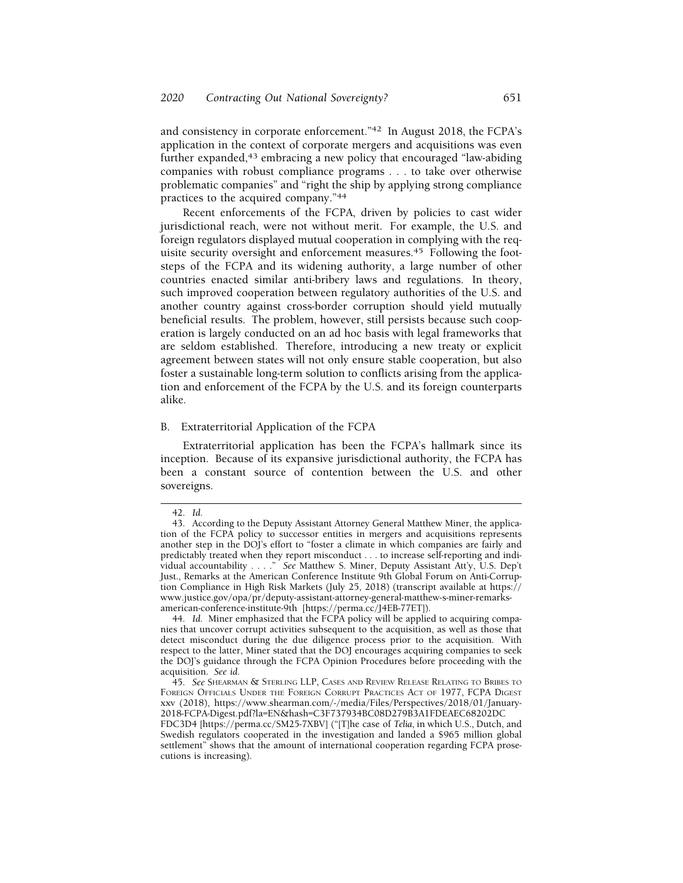and consistency in corporate enforcement."42 In August 2018, the FCPA's application in the context of corporate mergers and acquisitions was even further expanded, $43$  embracing a new policy that encouraged "law-abiding" companies with robust compliance programs . . . to take over otherwise problematic companies" and "right the ship by applying strong compliance practices to the acquired company."<sup>44</sup>

Recent enforcements of the FCPA, driven by policies to cast wider jurisdictional reach, were not without merit. For example, the U.S. and foreign regulators displayed mutual cooperation in complying with the requisite security oversight and enforcement measures.<sup>45</sup> Following the footsteps of the FCPA and its widening authority, a large number of other countries enacted similar anti-bribery laws and regulations. In theory, such improved cooperation between regulatory authorities of the U.S. and another country against cross-border corruption should yield mutually beneficial results. The problem, however, still persists because such cooperation is largely conducted on an ad hoc basis with legal frameworks that are seldom established. Therefore, introducing a new treaty or explicit agreement between states will not only ensure stable cooperation, but also foster a sustainable long-term solution to conflicts arising from the application and enforcement of the FCPA by the U.S. and its foreign counterparts alike.

#### B. Extraterritorial Application of the FCPA

Extraterritorial application has been the FCPA's hallmark since its inception. Because of its expansive jurisdictional authority, the FCPA has been a constant source of contention between the U.S. and other sovereigns.

cutions is increasing).

<sup>42.</sup> *Id.* 

<sup>43.</sup> According to the Deputy Assistant Attorney General Matthew Miner, the application of the FCPA policy to successor entities in mergers and acquisitions represents another step in the DOJ's effort to "foster a climate in which companies are fairly and predictably treated when they report misconduct . . . to increase self-reporting and individual accountability . . . ." *See* Matthew S. Miner, Deputy Assistant Att'y, U.S. Dep't Just., Remarks at the American Conference Institute 9th Global Forum on Anti-Corruption Compliance in High Risk Markets (July 25, 2018) (transcript available at https:// <www.justice.gov/opa/pr/deputy-assistant-attorney-general-matthew-s-miner-remarks>american-conference-institute-9th [[https://perma.cc/J4EB-77ET\]](https://perma.cc/J4EB-77ET)).

<sup>44.</sup> *Id.* Miner emphasized that the FCPA policy will be applied to acquiring companies that uncover corrupt activities subsequent to the acquisition, as well as those that detect misconduct during the due diligence process prior to the acquisition. With respect to the latter, Miner stated that the DOJ encourages acquiring companies to seek the DOJ's guidance through the FCPA Opinion Procedures before proceeding with the acquisition. *See id.* 

<sup>45.</sup> *See* SHEARMAN & STERLING LLP, CASES AND REVIEW RELEASE RELATING TO BRIBES TO FOREIGN OFFICIALS UNDER THE FOREIGN CORRUPT PRACTICES ACT OF 1977, FCPA DIGEST xxv (2018), [https://www.shearman.com/-/media/Files/Perspectives/2018/01/January-](https://www.shearman.com/-/media/Files/Perspectives/2018/01/January)2018-FCPA-Digest.pdf?la=EN&hash=C3F737934BC08D279B3A1FDEAEC68202DC FDC3D4 [[https://perma.cc/SM25-7XBV\]](https://perma.cc/SM25-7XBV) ("[T]he case of *Telia*, in which U.S., Dutch, and Swedish regulators cooperated in the investigation and landed a \$965 million global settlement" shows that the amount of international cooperation regarding FCPA prose-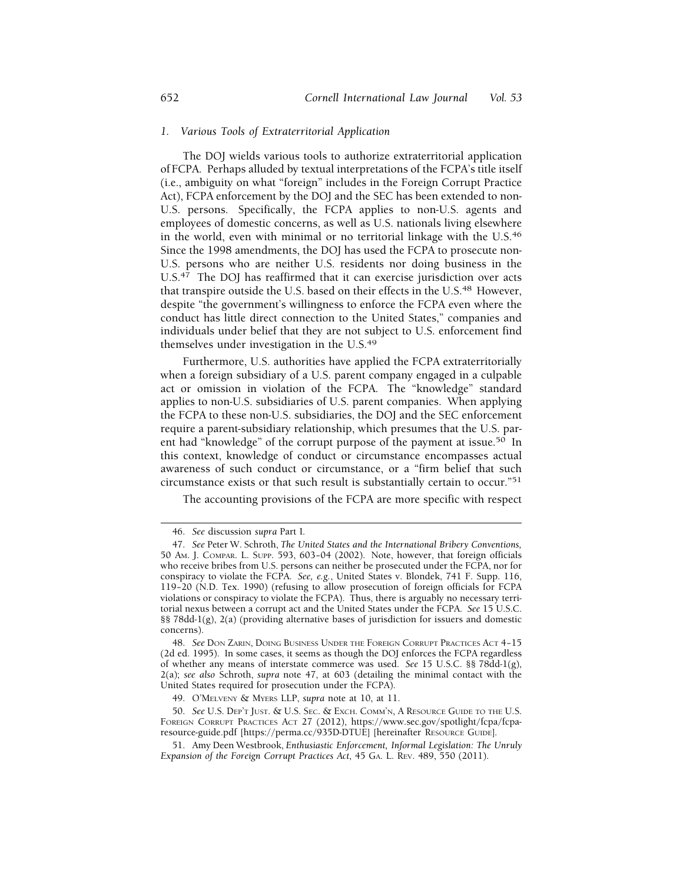#### <span id="page-9-0"></span>*1. Various Tools of Extraterritorial Application*

The DOJ wields various tools to authorize extraterritorial application of FCPA. Perhaps alluded by textual interpretations of the FCPA's title itself (i.e., ambiguity on what "foreign" includes in the Foreign Corrupt Practice Act), FCPA enforcement by the DOJ and the SEC has been extended to non-U.S. persons. Specifically, the FCPA applies to non-U.S. agents and employees of domestic concerns, as well as U.S. nationals living elsewhere in the world, even with minimal or no territorial linkage with the U.S.<sup>46</sup> Since the 1998 amendments, the DOJ has used the FCPA to prosecute non-U.S. persons who are neither U.S. residents nor doing business in the U.S.47 The DOJ has reaffirmed that it can exercise jurisdiction over acts that transpire outside the U.S. based on their effects in the U.S.48 However, despite "the government's willingness to enforce the FCPA even where the conduct has little direct connection to the United States," companies and individuals under belief that they are not subject to U.S. enforcement find themselves under investigation in the U.S.49

Furthermore, U.S. authorities have applied the FCPA extraterritorially when a foreign subsidiary of a U.S. parent company engaged in a culpable act or omission in violation of the FCPA. The "knowledge" standard applies to non-U.S. subsidiaries of U.S. parent companies. When applying the FCPA to these non-U.S. subsidiaries, the DOJ and the SEC enforcement require a parent-subsidiary relationship, which presumes that the U.S. parent had "knowledge" of the corrupt purpose of the payment at issue.<sup>50</sup> In this context, knowledge of conduct or circumstance encompasses actual awareness of such conduct or circumstance, or a "firm belief that such circumstance exists or that such result is substantially certain to occur."51

The accounting provisions of the FCPA are more specific with respect

<sup>46.</sup> *See* discussion *supra* Part I.

<sup>47.</sup> *See* Peter W. Schroth, *The United States and the International Bribery Conventions,*  50 AM. J. COMPAR. L. SUPP. 593, 603– 04 (2002). Note, however, that foreign officials who receive bribes from U.S. persons can neither be prosecuted under the FCPA, nor for conspiracy to violate the FCPA. *See, e.g.*, United States v. Blondek, 741 F. Supp. 116, 119– 20 (N.D. Tex. 1990) (refusing to allow prosecution of foreign officials for FCPA violations or conspiracy to violate the FCPA). Thus, there is arguably no necessary territorial nexus between a corrupt act and the United States under the FCPA. *See* 15 U.S.C. §§ 78dd-1(g), 2(a) (providing alternative bases of jurisdiction for issuers and domestic concerns).

<sup>48.</sup> *See* DON ZARIN, DOING BUSINESS UNDER THE FOREIGN CORRUPT PRACTICES ACT 4– 15 (2d ed. 1995). In some cases, it seems as though the DOJ enforces the FCPA regardless of whether any means of interstate commerce was used. *See* 15 U.S.C. §§ 78dd-1(g), 2(a); *see also* Schroth, *supra* note 47, at 603 (detailing the minimal contact with the United States required for prosecution under the FCPA).

<sup>49.</sup> O'MELVENY & MYERS LLP, *supra* note at 10, at 11.

<sup>50.</sup> *See* U.S. DEP'T JUST. & U.S. SEC. & EXCH. COMM'N, A RESOURCE GUIDE TO THE U.S. FOREIGN CORRUPT PRACTICES ACT 27 (2012), <https://www.sec.gov/spotlight/fcpa/fcpa>resource-guide.pdf [\[https://perma.cc/935D-DTUE](https://perma.cc/935D-DTUE)] [hereinafter RESOURCE GUIDE].

<sup>51.</sup> Amy Deen Westbrook, *Enthusiastic Enforcement, Informal Legislation: The Unruly Expansion of the Foreign Corrupt Practices Act*, 45 GA. L. REV. 489, 550 (2011).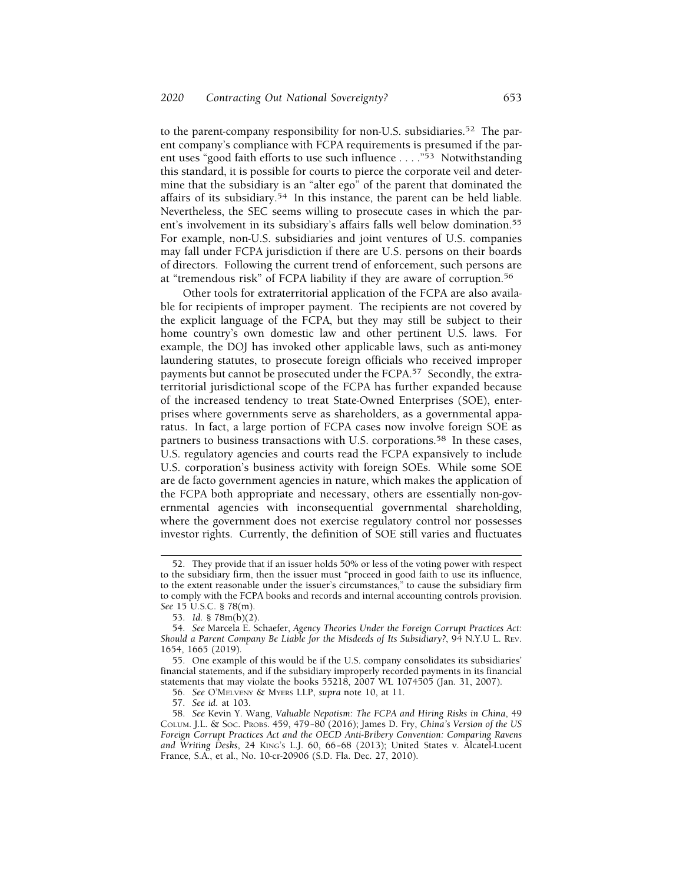to the parent-company responsibility for non-U.S. [subsidiaries.52](https://subsidiaries.52) The parent company's compliance with FCPA requirements is presumed if the parent uses "good faith efforts to use such influence . . . ."53 Notwithstanding this standard, it is possible for courts to pierce the corporate veil and determine that the subsidiary is an "alter ego" of the parent that dominated the affairs of its [subsidiary.](https://subsidiary.54)<sup>54</sup> In this instance, the parent can be held liable. Nevertheless, the SEC seems willing to prosecute cases in which the parent's involvement in its subsidiary's affairs falls well below [domination.55](https://domination.55)  For example, non-U.S. subsidiaries and joint ventures of U.S. companies may fall under FCPA jurisdiction if there are U.S. persons on their boards of directors. Following the current trend of enforcement, such persons are at "tremendous risk" of FCPA liability if they are aware of [corruption.56](https://corruption.56)

Other tools for extraterritorial application of the FCPA are also available for recipients of improper payment. The recipients are not covered by the explicit language of the FCPA, but they may still be subject to their home country's own domestic law and other pertinent U.S. laws. For example, the DOJ has invoked other applicable laws, such as anti-money laundering statutes, to prosecute foreign officials who received improper payments but cannot be prosecuted under the FCPA.<sup>57</sup> Secondly, the extraterritorial jurisdictional scope of the FCPA has further expanded because of the increased tendency to treat State-Owned Enterprises (SOE), enterprises where governments serve as shareholders, as a governmental apparatus. In fact, a large portion of FCPA cases now involve foreign SOE as partners to business transactions with U.S. corporations.<sup>58</sup> In these cases, U.S. regulatory agencies and courts read the FCPA expansively to include U.S. corporation's business activity with foreign SOEs. While some SOE are de facto government agencies in nature, which makes the application of the FCPA both appropriate and necessary, others are essentially non-governmental agencies with inconsequential governmental shareholding, where the government does not exercise regulatory control nor possesses investor rights. Currently, the definition of SOE still varies and fluctuates

55. One example of this would be if the U.S. company consolidates its subsidiaries' financial statements, and if the subsidiary improperly recorded payments in its financial statements that may violate the books 55218, 2007 WL 1074505 (Jan. 31, 2007).

56. *See* O'MELVENY & MYERS LLP, *supra* note 10, at 11.

<sup>52.</sup> They provide that if an issuer holds 50% or less of the voting power with respect to the subsidiary firm, then the issuer must "proceed in good faith to use its influence, to the extent reasonable under the issuer's circumstances," to cause the subsidiary firm to comply with the FCPA books and records and internal accounting controls provision. *See* 15 U.S.C. § 78(m).

<sup>53.</sup> *Id.* § 78m(b)(2).

<sup>54.</sup> *See* Marcela E. Schaefer, *Agency Theories Under the Foreign Corrupt Practices Act: Should a Parent Company Be Liable for the Misdeeds of Its Subsidiary?*, 94 N.Y.U L. REV. 1654, 1665 (2019).

<sup>57.</sup> *See id.* at 103.

<sup>58.</sup> *See* Kevin Y. Wang, *Valuable Nepotism: The FCPA and Hiring Risks in China*, 49 COLUM. J.L. & SOC. PROBS. 459, 479– 80 (2016); James D. Fry, *China's Version of the US Foreign Corrupt Practices Act and the OECD Anti-Bribery Convention: Comparing Ravens and Writing Desks*, 24 KING'S L.J. 60, 66– 68 (2013); United States v. Alcatel-Lucent France, S.A., et al., No. 10-cr-20906 (S.D. Fla. Dec. 27, 2010).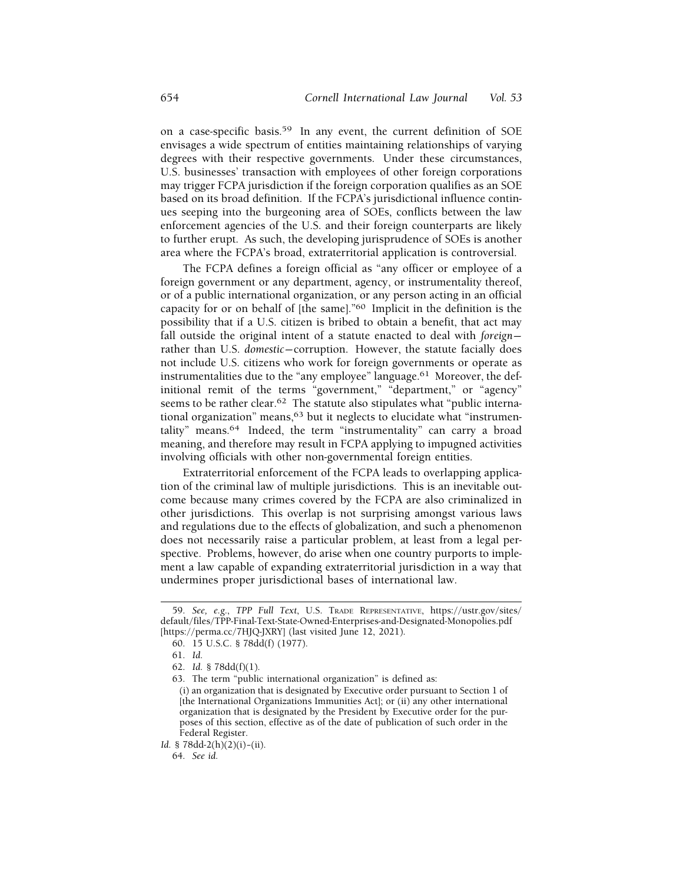on a case-specific [basis.](https://basis.59)59 In any event, the current definition of SOE envisages a wide spectrum of entities maintaining relationships of varying degrees with their respective governments. Under these circumstances, U.S. businesses' transaction with employees of other foreign corporations may trigger FCPA jurisdiction if the foreign corporation qualifies as an SOE based on its broad definition. If the FCPA's jurisdictional influence continues seeping into the burgeoning area of SOEs, conflicts between the law enforcement agencies of the U.S. and their foreign counterparts are likely to further erupt. As such, the developing jurisprudence of SOEs is another area where the FCPA's broad, extraterritorial application is controversial.

The FCPA defines a foreign official as "any officer or employee of a foreign government or any department, agency, or instrumentality thereof, or of a public international organization, or any person acting in an official capacity for or on behalf of [the same]."60 Implicit in the definition is the possibility that if a U.S. citizen is bribed to obtain a benefit, that act may fall outside the original intent of a statute enacted to deal with *foreign* rather than U.S. *domestic*— corruption. However, the statute facially does not include U.S. citizens who work for foreign governments or operate as instrumentalities due to the "any employee" language.<sup>61</sup> Moreover, the definitional remit of the terms "government," "department," or "agency" seems to be rather clear.<sup>62</sup> The statute also stipulates what "public international organization" means,<sup>63</sup> but it neglects to elucidate what "instrumentality" [means.64](https://means.64) Indeed, the term "instrumentality" can carry a broad meaning, and therefore may result in FCPA applying to impugned activities involving officials with other non-governmental foreign entities.

Extraterritorial enforcement of the FCPA leads to overlapping application of the criminal law of multiple jurisdictions. This is an inevitable outcome because many crimes covered by the FCPA are also criminalized in other jurisdictions. This overlap is not surprising amongst various laws and regulations due to the effects of globalization, and such a phenomenon does not necessarily raise a particular problem, at least from a legal perspective. Problems, however, do arise when one country purports to implement a law capable of expanding extraterritorial jurisdiction in a way that undermines proper jurisdictional bases of international law.

<sup>59.</sup> *See, e.g*., *TPP Full Text*, U.S. TRADE REPRESENTATIVE, <https://ustr.gov/sites>/ default/files/TPP-Final-Text-State-Owned-Enterprises-and-Designated-Monopolies.pdf [<https://perma.cc/7HJQ-JXRY>] (last visited June 12, 2021).

<sup>60. 15</sup> U.S.C. § 78dd(f) (1977).

<sup>61.</sup> *Id.* 

<sup>62.</sup> *Id.* § 78dd(f)(1).

<sup>63.</sup> The term "public international organization" is defined as:

<sup>(</sup>i) an organization that is designated by Executive order pursuant to Section 1 of [the International Organizations Immunities Act]; or (ii) any other international organization that is designated by the President by Executive order for the purposes of this section, effective as of the date of publication of such order in the Federal Register.

*Id.* § 78dd-2(h)(2)(i)– (ii).

<sup>64.</sup> *See id.*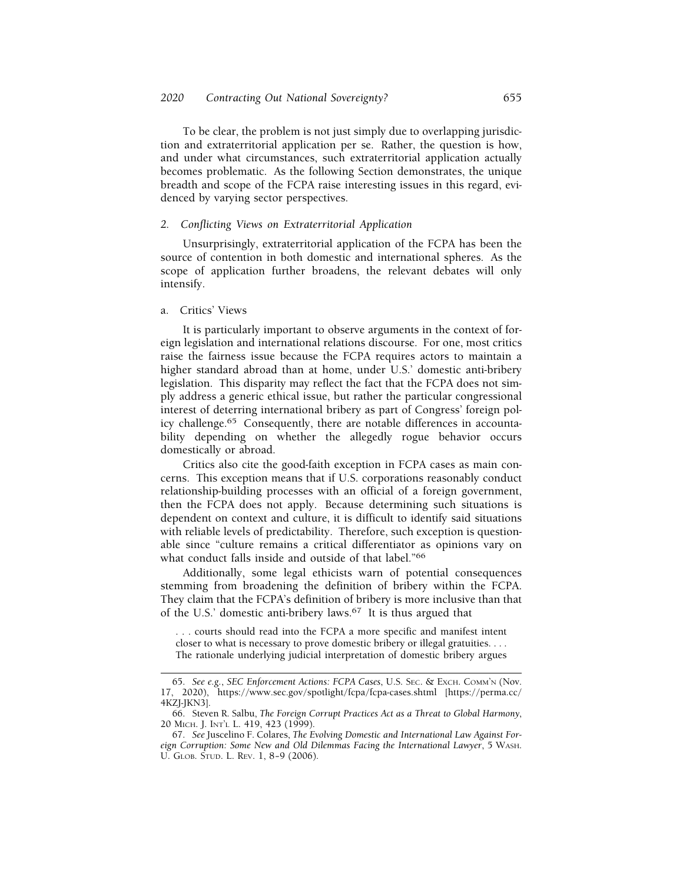To be clear, the problem is not just simply due to overlapping jurisdiction and extraterritorial application per se. Rather, the question is how, and under what circumstances, such extraterritorial application actually becomes problematic. As the following Section demonstrates, the unique breadth and scope of the FCPA raise interesting issues in this regard, evidenced by varying sector perspectives.

#### *2. Conflicting Views on Extraterritorial Application*

Unsurprisingly, extraterritorial application of the FCPA has been the source of contention in both domestic and international spheres. As the scope of application further broadens, the relevant debates will only intensify.

#### a. Critics' Views

It is particularly important to observe arguments in the context of foreign legislation and international relations discourse. For one, most critics raise the fairness issue because the FCPA requires actors to maintain a higher standard abroad than at home, under U.S.' domestic anti-bribery legislation. This disparity may reflect the fact that the FCPA does not simply address a generic ethical issue, but rather the particular congressional interest of deterring international bribery as part of Congress' foreign policy [challenge.65](https://challenge.65) Consequently, there are notable differences in accountability depending on whether the allegedly rogue behavior occurs domestically or abroad.

Critics also cite the good-faith exception in FCPA cases as main concerns. This exception means that if U.S. corporations reasonably conduct relationship-building processes with an official of a foreign government, then the FCPA does not apply. Because determining such situations is dependent on context and culture, it is difficult to identify said situations with reliable levels of predictability. Therefore, such exception is questionable since "culture remains a critical differentiator as opinions vary on what conduct falls inside and outside of that label."<sup>66</sup>

Additionally, some legal ethicists warn of potential consequences stemming from broadening the definition of bribery within the FCPA. They claim that the FCPA's definition of bribery is more inclusive than that of the U.S.' domestic anti-bribery laws.67 It is thus argued that

. . . courts should read into the FCPA a more specific and manifest intent closer to what is necessary to prove domestic bribery or illegal gratuities. . . . The rationale underlying judicial interpretation of domestic bribery argues

<sup>65.</sup> *See e.g.*, *SEC Enforcement Actions: FCPA Cases*, U.S. SEC. & EXCH. COMM'N (Nov. 17, 2020), <https://www.sec.gov/spotlight/fcpa/fcpa-cases.shtml>[<https://perma.cc>/ 4KZJ-JKN3].

<sup>66.</sup> Steven R. Salbu, *The Foreign Corrupt Practices Act as a Threat to Global Harmony*, 20 MICH. J. INT'L L. 419, 423 (1999).

<sup>67.</sup> *See* Juscelino F. Colares, *The Evolving Domestic and International Law Against Foreign Corruption: Some New and Old Dilemmas Facing the International Lawyer*, 5 WASH. U. GLOB. STUD. L. REV. 1, 8-9 (2006).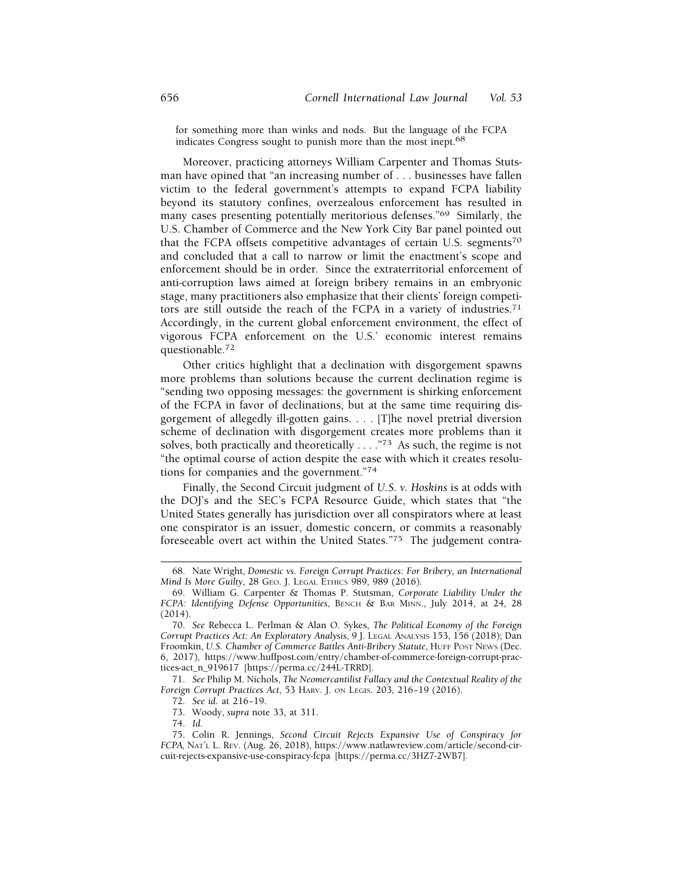for something more than winks and nods. But the language of the FCPA indicates Congress sought to punish more than the most [inept.](https://inept.68)<sup>68</sup>

Moreover, practicing attorneys William Carpenter and Thomas Stutsman have opined that "an increasing number of . . . businesses have fallen victim to the federal government's attempts to expand FCPA liability beyond its statutory confines, overzealous enforcement has resulted in many cases presenting potentially meritorious defenses."69 Similarly, the U.S. Chamber of Commerce and the New York City Bar panel pointed out that the FCPA offsets competitive advantages of certain U.S. segments<sup>70</sup> and concluded that a call to narrow or limit the enactment's scope and enforcement should be in order. Since the extraterritorial enforcement of anti-corruption laws aimed at foreign bribery remains in an embryonic stage, many practitioners also emphasize that their clients' foreign competitors are still outside the reach of the FCPA in a variety of industries.<sup>71</sup> Accordingly, in the current global enforcement environment, the effect of vigorous FCPA enforcement on the U.S.' economic interest remains [questionable.](https://questionable.72)<sup>72</sup>

Other critics highlight that a declination with disgorgement spawns more problems than solutions because the current declination regime is "sending two opposing messages: the government is shirking enforcement of the FCPA in favor of declinations, but at the same time requiring disgorgement of allegedly ill-gotten gains. . . . [T]he novel pretrial diversion scheme of declination with disgorgement creates more problems than it solves, both practically and theoretically . . . . "73 As such, the regime is not "the optimal course of action despite the ease with which it creates resolutions for companies and the government."74

Finally, the Second Circuit judgment of *U.S. v. Hoskins* is at odds with the DOJ's and the SEC's FCPA Resource Guide, which states that "the United States generally has jurisdiction over all conspirators where at least one conspirator is an issuer, domestic concern, or commits a reasonably foreseeable overt act within the United States."75 The judgement contra-

71. *See* Philip M. Nichols, *The Neomercantilist Fallacy and the Contextual Reality of the Foreign Corrupt Practices Act*, 53 HARV. J. ON LEGIS. 203, 216– 19 (2016).

74. *Id.* 

75. Colin R. Jennings, *Second Circuit Rejects Expansive Use of Conspiracy for FCPA*, NAT'L L. REV. (Aug. 26, 2018), <https://www.natlawreview.com/article/second-cir>cuit-rejects-expansive-use-conspiracy-fcpa [[https://perma.cc/3HZ7-2WB7\]](https://perma.cc/3HZ7-2WB7).

<sup>68.</sup> Nate Wright, *Domestic vs. Foreign Corrupt Practices: For Bribery, an International Mind Is More Guilty*, 28 GEO. J. LEGAL ETHICS 989, 989 (2016).

<sup>69.</sup> William G. Carpenter & Thomas P. Stutsman, *Corporate Liability Under the FCPA: Identifying Defense Opportunities*, BENCH & BAR MINN., July 2014, at 24, 28 (2014).

<sup>70.</sup> *See* Rebecca L. Perlman & Alan O. Sykes, *The Political Economy of the Foreign Corrupt Practices Act: An Exploratory Analysis*, 9 J. LEGAL ANALYSIS 153, 156 (2018); Dan Froomkin, *U.S. Chamber of Commerce Battles Anti-Bribery Statute*, HUFF POST NEWS (Dec. 6, 2017), <https://www.huffpost.com/entry/chamber-of-commerce-foreign-corrupt-prac>tices-act\_n\_919617 [<https://perma.cc/244L-TRRD>].

<sup>72.</sup> *See id.* at 216– 19.

<sup>73.</sup> Woody, *supra* note 33, at 311.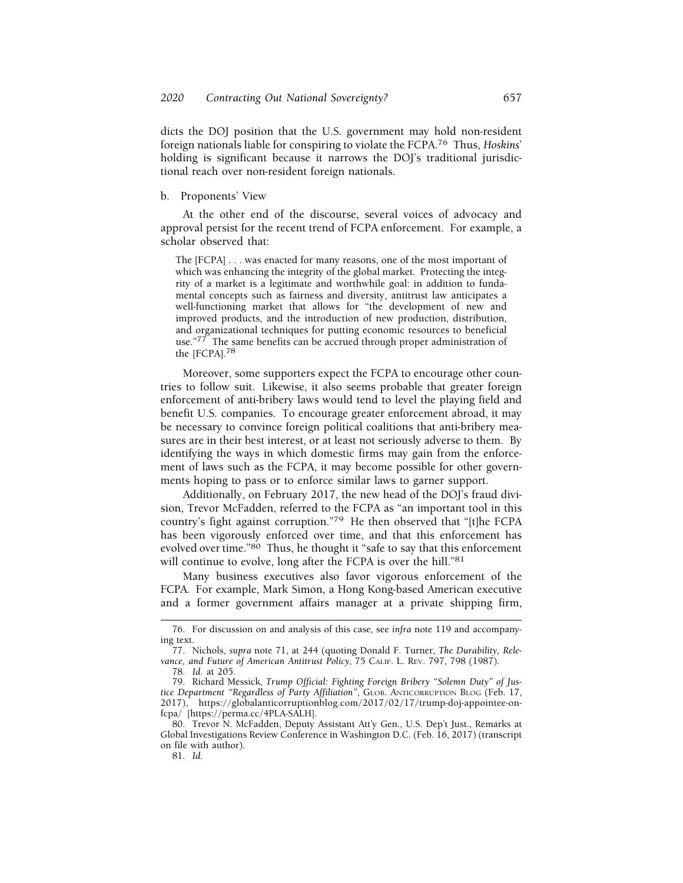dicts the DOJ position that the U.S. government may hold non-resident foreign nationals liable for conspiring to violate the FCPA.76 Thus, *Hoskins*' holding is significant because it narrows the DOJ's traditional jurisdictional reach over non-resident foreign nationals.

#### b. Proponents' View

At the other end of the discourse, several voices of advocacy and approval persist for the recent trend of FCPA enforcement. For example, a scholar observed that:

The [FCPA] . . . was enacted for many reasons, one of the most important of which was enhancing the integrity of the global market. Protecting the integrity of a market is a legitimate and worthwhile goal: in addition to fundamental concepts such as fairness and diversity, antitrust law anticipates a well-functioning market that allows for "the development of new and improved products, and the introduction of new production, distribution, and organizational techniques for putting economic resources to beneficial use."77 The same benefits can be accrued through proper administration of the [\[FCPA\].](https://FCPA].78)78

Moreover, some supporters expect the FCPA to encourage other countries to follow suit. Likewise, it also seems probable that greater foreign enforcement of anti-bribery laws would tend to level the playing field and benefit U.S. companies. To encourage greater enforcement abroad, it may be necessary to convince foreign political coalitions that anti-bribery measures are in their best interest, or at least not seriously adverse to them. By identifying the ways in which domestic firms may gain from the enforcement of laws such as the FCPA, it may become possible for other governments hoping to pass or to enforce similar laws to garner support.

Additionally, on February 2017, the new head of the DOJ's fraud division, Trevor McFadden, referred to the FCPA as "an important tool in this country's fight against corruption."79 He then observed that "[t]he FCPA has been vigorously enforced over time, and that this enforcement has evolved over time."<sup>80</sup> Thus, he thought it "safe to say that this enforcement will continue to evolve, long after the FCPA is over the hill."<sup>81</sup>

Many business executives also favor vigorous enforcement of the FCPA. For example, Mark Simon, a Hong Kong-based American executive and a former government affairs manager at a private shipping firm,

81. *Id.* 

<sup>76.</sup> For discussion on and analysis of this case, see *infra* note 119 and accompanying text.

<sup>77.</sup> Nichols, *supra* note 71, at 244 (quoting Donald F. Turner, *The Durability, Relevance, and Future of American Antitrust Policy*, 75 CALIF. L. REV. 797, 798 (1987).

<sup>78.</sup> *Id.* at 205.

<sup>79.</sup> Richard Messick, *Trump Official: Fighting Foreign Bribery "Solemn Duty" of Justice Department "Regardless of Party Affiliation"*, GLOB. ANTICORRUPTION BLOG (Feb. 17, 2017), <https://globalanticorruptionblog.com/2017/02/17/trump-doj-appointee-on>fcpa/ [<https://perma.cc/4PLA-SALH>].

<sup>80.</sup> Trevor N. McFadden, Deputy Assistant Att'y Gen., U.S. Dep't Just., Remarks at Global Investigations Review Conference in Washington D.C. (Feb. 16, 2017) (transcript on file with author).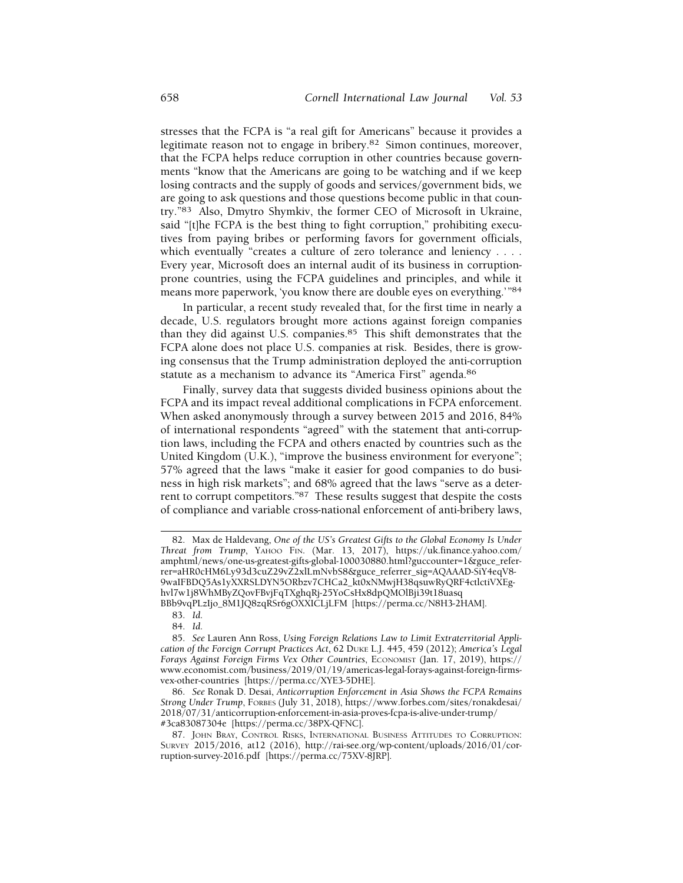stresses that the FCPA is "a real gift for Americans" because it provides a legitimate reason not to engage in [bribery.](https://bribery.82)82 Simon continues, moreover, that the FCPA helps reduce corruption in other countries because governments "know that the Americans are going to be watching and if we keep losing contracts and the supply of goods and services/government bids, we are going to ask questions and those questions become public in that country."83 Also, Dmytro Shymkiv, the former CEO of Microsoft in Ukraine, said "[t]he FCPA is the best thing to fight corruption," prohibiting executives from paying bribes or performing favors for government officials, which eventually "creates a culture of zero tolerance and leniency . . . . Every year, Microsoft does an internal audit of its business in corruptionprone countries, using the FCPA guidelines and principles, and while it means more paperwork, 'you know there are double eyes on everything.'"84

In particular, a recent study revealed that, for the first time in nearly a decade, U.S. regulators brought more actions against foreign companies than they did against U.S. [companies.85](https://companies.85) This shift demonstrates that the FCPA alone does not place U.S. companies at risk. Besides, there is growing consensus that the Trump administration deployed the anti-corruption statute as a mechanism to advance its "America First" [agenda.86](https://agenda.86)

Finally, survey data that suggests divided business opinions about the FCPA and its impact reveal additional complications in FCPA enforcement. When asked anonymously through a survey between 2015 and 2016, 84% of international respondents "agreed" with the statement that anti-corruption laws, including the FCPA and others enacted by countries such as the United Kingdom (U.K.), "improve the business environment for everyone"; 57% agreed that the laws "make it easier for good companies to do business in high risk markets"; and 68% agreed that the laws "serve as a deterrent to corrupt competitors."<sup>87</sup> These results suggest that despite the costs of compliance and variable cross-national enforcement of anti-bribery laws,

83. *Id.* 

84. *Id.* 

<sup>82.</sup> Max de Haldevang, *One of the US's Greatest Gifts to the Global Economy Is Under Threat from Trump*, YAHOO FIN. (Mar. 13, 2017), <https://uk.finance.yahoo.com>/ amphtml/news/one-us-greatest-gifts-global-100030880.html?guccounter=1&guce\_referrer=aHR0cHM6Ly93d3cuZ29vZ2xlLmNvbS8&guce\_referrer\_sig=AQAAAD-SiY4eqV8- 9waIFBDQ5As1yXXRSLDYN5ORbzv7CHCa2\_kt0xNMwjH38qsuwRyQRF4ctlctiVXEghvl7w1j8WhMByZQovFBvjFqTXghqRj-25YoCsHx8dpQMOlBji39t18uasq BBb9vqPLzIjo\_8M1JQ8zqRSr6gOXXICLjLFM [\[https://perma.cc/N8H3-2HAM](https://perma.cc/N8H3-2HAM)].

<sup>85.</sup> *See* Lauren Ann Ross, *Using Foreign Relations Law to Limit Extraterritorial Application of the Foreign Corrupt Practices Act*, 62 DUKE L.J. 445, 459 (2012); *America's Legal Forays Against Foreign Firms Vex Other Countries*, ECONOMIST (Jan. 17, 2019), https:// <www.economist.com/business/2019/01/19/americas-legal-forays-against-foreign-firms>vex-other-countries [<https://perma.cc/XYE3-5DHE>].

<sup>86.</sup> *See* Ronak D. Desai, *Anticorruption Enforcement in Asia Shows the FCPA Remains Strong Under Trump*, FORBES (July 31, 2018),<https://www.forbes.com/sites/ronakdesai>/ 2018/07/31/anticorruption-enforcement-in-asia-proves-fcpa-is-alive-under-trump/ #3ca83087304e [\[https://perma.cc/38PX-QFNC\]](https://perma.cc/38PX-QFNC).

<sup>87.</sup> JOHN BRAY, CONTROL RISKS, INTERNATIONAL BUSINESS ATTITUDES TO CORRUPTION: SURVEY 2015/2016, at12 (2016), <http://rai-see.org/wp-content/uploads/2016/01/cor>ruption-survey-2016.pdf [[https://perma.cc/75XV-8JRP\]](https://perma.cc/75XV-8JRP).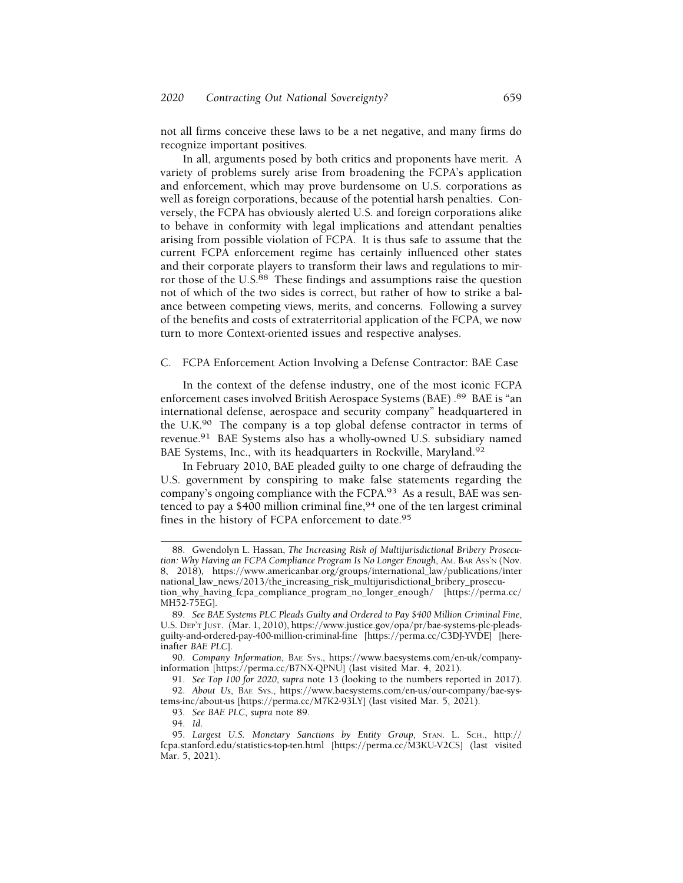not all firms conceive these laws to be a net negative, and many firms do recognize important positives.

In all, arguments posed by both critics and proponents have merit. A variety of problems surely arise from broadening the FCPA's application and enforcement, which may prove burdensome on U.S. corporations as well as foreign corporations, because of the potential harsh penalties. Conversely, the FCPA has obviously alerted U.S. and foreign corporations alike to behave in conformity with legal implications and attendant penalties arising from possible violation of FCPA. It is thus safe to assume that the current FCPA enforcement regime has certainly influenced other states and their corporate players to transform their laws and regulations to mirror those of the U.S.88 These findings and assumptions raise the question not of which of the two sides is correct, but rather of how to strike a balance between competing views, merits, and concerns. Following a survey of the benefits and costs of extraterritorial application of the FCPA, we now turn to more Context-oriented issues and respective analyses.

#### C. FCPA Enforcement Action Involving a Defense Contractor: BAE Case

In the context of the defense industry, one of the most iconic FCPA enforcement cases involved British Aerospace Systems (BAE) .89 BAE is "an international defense, aerospace and security company" headquartered in the U.K.<sup>90</sup> The company is a top global defense contractor in terms of [revenue.91](https://revenue.91) BAE Systems also has a wholly-owned U.S. subsidiary named BAE Systems, Inc., with its headquarters in Rockville, Maryland.<sup>92</sup>

In February 2010, BAE pleaded guilty to one charge of defrauding the U.S. government by conspiring to make false statements regarding the company's ongoing compliance with the FCPA.93 As a result, BAE was sentenced to pay a \$400 million criminal fine,  $94$  one of the ten largest criminal fines in the history of FCPA enforcement to date.<sup>95</sup>

<sup>88.</sup> Gwendolyn L. Hassan, *The Increasing Risk of Multijurisdictional Bribery Prosecution: Why Having an FCPA Compliance Program Is No Longer Enough*, AM. BAR ASS'N (Nov. 8, 2018), [https://www.americanbar.org/groups/international\\_law/publications/inter](https://www.americanbar.org/groups/international_law/publications/inter)  national\_law\_news/2013/the\_increasing\_risk\_multijurisdictional\_bribery\_prosecution\_why\_having\_fcpa\_compliance\_program\_no\_longer\_enough/ [<https://perma.cc>/ MH52-75EG].

<sup>89.</sup> *See BAE Systems PLC Pleads Guilty and Ordered to Pay \$400 Million Criminal Fine*, U.S. DEP'T JUST. (Mar. 1, 2010),<https://www.justice.gov/opa/pr/bae-systems-plc-pleads>guilty-and-ordered-pay-400-million-criminal-fine [\[https://perma.cc/C3DJ-YVDE\]](https://perma.cc/C3DJ-YVDE) [hereinafter *BAE PLC*].

<sup>90.</sup> *Company Information*, BAE SYS., <https://www.baesystems.com/en-uk/company>information [<https://perma.cc/B7NX-QPNU>] (last visited Mar. 4, 2021).

<sup>91.</sup> *See Top 100 for 2020*, *supra* note 13 (looking to the numbers reported in 2017).

<sup>92.</sup> *About Us*, BAE SYS., <https://www.baesystems.com/en-us/our-company/bae-sys>tems-inc/about-us [<https://perma.cc/M7K2-93LY>] (last visited Mar. 5, 2021).

<sup>93.</sup> *See BAE PLC*, *supra* note 89.

<sup>94.</sup> *Id*.

<sup>95.</sup> *Largest U.S. Monetary Sanctions by Entity Group*, STAN. L. SCH., http:// [fcpa.stanford.edu/statistics-top-ten.html](https://fcpa.stanford.edu/statistics-top-ten.html) [[https://perma.cc/M3KU-V2CS\]](https://perma.cc/M3KU-V2CS) (last visited Mar. 5, 2021).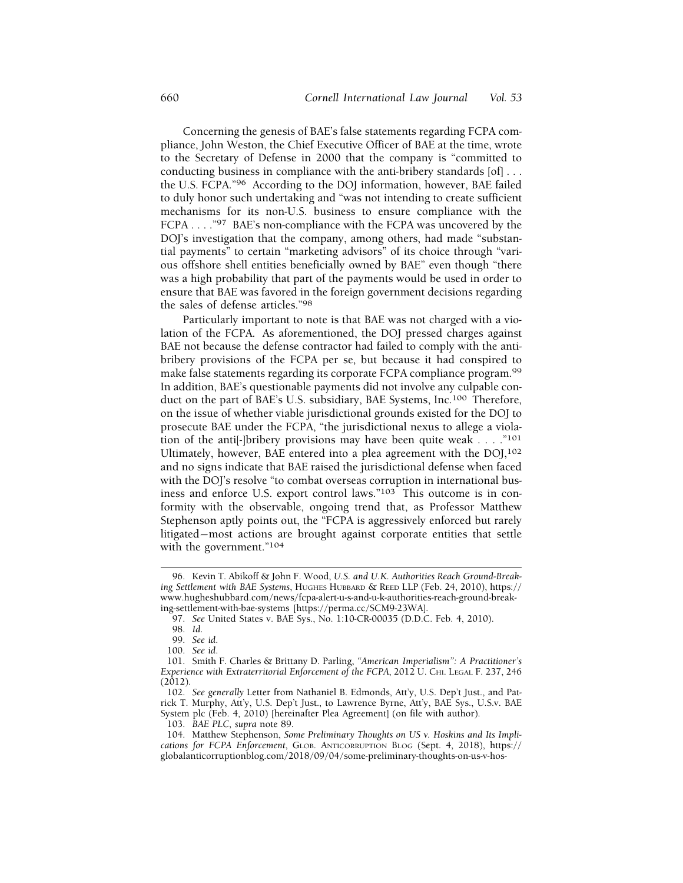Concerning the genesis of BAE's false statements regarding FCPA compliance, John Weston, the Chief Executive Officer of BAE at the time, wrote to the Secretary of Defense in 2000 that the company is "committed to conducting business in compliance with the anti-bribery standards [of] . . . the U.S. FCPA."96 According to the DOJ information, however, BAE failed to duly honor such undertaking and "was not intending to create sufficient mechanisms for its non-U.S. business to ensure compliance with the FCPA . . . . "97 BAE's non-compliance with the FCPA was uncovered by the DOJ's investigation that the company, among others, had made "substantial payments" to certain "marketing advisors" of its choice through "various offshore shell entities beneficially owned by BAE" even though "there was a high probability that part of the payments would be used in order to ensure that BAE was favored in the foreign government decisions regarding the sales of defense articles."98

Particularly important to note is that BAE was not charged with a violation of the FCPA. As aforementioned, the DOJ pressed charges against BAE not because the defense contractor had failed to comply with the antibribery provisions of the FCPA per se, but because it had conspired to make false statements regarding its corporate FCPA compliance program.<sup>99</sup> In addition, BAE's questionable payments did not involve any culpable conduct on the part of BAE's U.S. subsidiary, BAE Systems, Inc.100 Therefore, on the issue of whether viable jurisdictional grounds existed for the DOJ to prosecute BAE under the FCPA, "the jurisdictional nexus to allege a violation of the anti[-]bribery provisions may have been quite weak  $\dots$ ."<sup>101</sup> Ultimately, however, BAE entered into a plea agreement with the DOJ,<sup>102</sup> and no signs indicate that BAE raised the jurisdictional defense when faced with the DOJ's resolve "to combat overseas corruption in international business and enforce U.S. export control laws."<sup>103</sup> This outcome is in conformity with the observable, ongoing trend that, as Professor Matthew Stephenson aptly points out, the "FCPA is aggressively enforced but rarely litigated— most actions are brought against corporate entities that settle with the government."<sup>104</sup>

97. *See* United States v. BAE Sys., No. 1:10-CR-00035 (D.D.C. Feb. 4, 2010).

103. *BAE PLC*, *supra* note 89.

<sup>96.</sup> Kevin T. Abikoff & John F. Wood, *U.S. and U.K. Authorities Reach Ground-Breaking Settlement with BAE Systems*, HUGHES HUBBARD & REED LLP (Feb. 24, 2010), https:// <www.hugheshubbard.com/news/fcpa-alert-u-s-and-u-k-authorities-reach-ground-break>ing-settlement-with-bae-systems [<https://perma.cc/SCM9-23WA>].

<sup>98.</sup> *Id*.

<sup>99.</sup> *See id*.

<sup>100.</sup> *See id*.

<sup>101.</sup> Smith F. Charles & Brittany D. Parling, *"American Imperialism": A Practitioner's Experience with Extraterritorial Enforcement of the FCPA*, 2012 U. CHI. LEGAL F. 237, 246 (2012).

<sup>102.</sup> *See generally* Letter from Nathaniel B. Edmonds, Att'y, U.S. Dep't Just., and Patrick T. Murphy, Att'y, U.S. Dep't Just., to Lawrence Byrne, Att'y, BAE Sys., U.S.v. BAE System plc (Feb. 4, 2010) [hereinafter Plea Agreement] (on file with author).

<sup>104.</sup> Matthew Stephenson, *Some Preliminary Thoughts on US v. Hoskins and Its Implications for FCPA Enforcement*, GLOB. ANTICORRUPTION BLOG (Sept. 4, 2018), https:// [globalanticorruptionblog.com/2018/09/04/some-preliminary-thoughts-on-us-v-hos-](https://globalanticorruptionblog.com/2018/09/04/some-preliminary-thoughts-on-us-v-hos)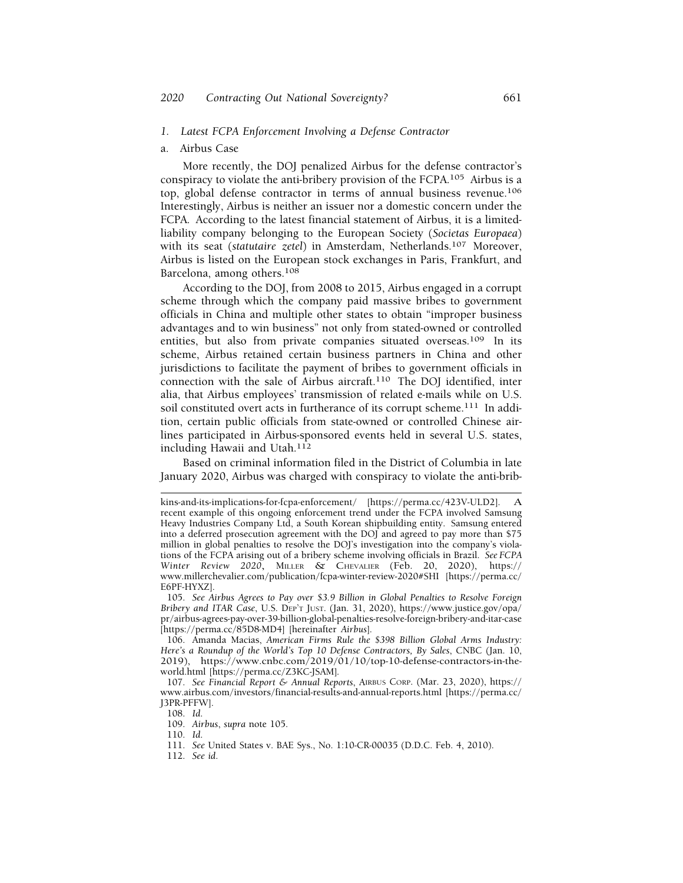#### *1. Latest FCPA Enforcement Involving a Defense Contractor*

#### a. Airbus Case

More recently, the DOJ penalized Airbus for the defense contractor's conspiracy to violate the anti-bribery provision of the FCPA.105 Airbus is a top, global defense contractor in terms of annual business revenue.106 Interestingly, Airbus is neither an issuer nor a domestic concern under the FCPA. According to the latest financial statement of Airbus, it is a limitedliability company belonging to the European Society (*Societas Europaea*) with its seat (*statutaire zetel*) in Amsterdam, Netherlands.<sup>107</sup> Moreover, Airbus is listed on the European stock exchanges in Paris, Frankfurt, and Barcelona, among others.<sup>108</sup>

According to the DOJ, from 2008 to 2015, Airbus engaged in a corrupt scheme through which the company paid massive bribes to government officials in China and multiple other states to obtain "improper business advantages and to win business" not only from stated-owned or controlled entities, but also from private companies situated overseas.<sup>109</sup> In its scheme, Airbus retained certain business partners in China and other jurisdictions to facilitate the payment of bribes to government officials in connection with the sale of Airbus aircraft.110 The DOJ identified, inter alia, that Airbus employees' transmission of related e-mails while on U.S. soil constituted overt acts in furtherance of its corrupt scheme.<sup>111</sup> In addition, certain public officials from state-owned or controlled Chinese airlines participated in Airbus-sponsored events held in several U.S. states, including Hawaii and Utah.<sup>112</sup>

Based on criminal information filed in the District of Columbia in late January 2020, Airbus was charged with conspiracy to violate the anti-brib-

kins-and-its-implications-for-fcpa-enforcement/ [[https://perma.cc/423V-ULD2\]](https://perma.cc/423V-ULD2). A recent example of this ongoing enforcement trend under the FCPA involved Samsung Heavy Industries Company Ltd, a South Korean shipbuilding entity. Samsung entered into a deferred prosecution agreement with the DOJ and agreed to pay more than \$75 million in global penalties to resolve the DOJ's investigation into the company's violations of the FCPA arising out of a bribery scheme involving officials in Brazil. *See FCPA Winter Review 2020*, MILLER & CHEVALIER (Feb. 20, 2020), https:// <www.millerchevalier.com/publication/fcpa-winter-review-2020#SHI>[\[https://perma.cc](https://perma.cc)/ E6PF-HYXZ].

<sup>105.</sup> *See Airbus Agrees to Pay over \$3.9 Billion in Global Penalties to Resolve Foreign Bribery and ITAR Case*, U.S. DEP'T JUST. (Jan. 31, 2020), <https://www.justice.gov/opa>/ pr/airbus-agrees-pay-over-39-billion-global-penalties-resolve-foreign-bribery-and-itar-case [[https://perma.cc/85D8-MD4\]](https://perma.cc/85D8-MD4) [hereinafter *Airbus*].

<sup>106.</sup> Amanda Macias, *American Firms Rule the \$398 Billion Global Arms Industry: Here's a Roundup of the World's Top 10 Defense Contractors, By Sales*, CNBC (Jan. 10, 2019), <https://www.cnbc.com/2019/01/10/top-10-defense-contractors-in-the>world.html [\[https://perma.cc/Z3KC-JSAM\]](https://perma.cc/Z3KC-JSAM).

<sup>107.</sup> *See Financial Report & Annual Reports*, AIRBUS CORP. (Mar. 23, 2020), https:// <www.airbus.com/investors/financial-results-and-annual-reports.html> [\[https://perma.cc](https://perma.cc)/ J3PR-PFFW].

<sup>108.</sup> *Id*.

<sup>109.</sup> *Airbus*, *supra* note 105.

<sup>110.</sup> *Id*.

<sup>111.</sup> *See* United States v. BAE Sys., No. 1:10-CR-00035 (D.D.C. Feb. 4, 2010).

<sup>112.</sup> *See id*.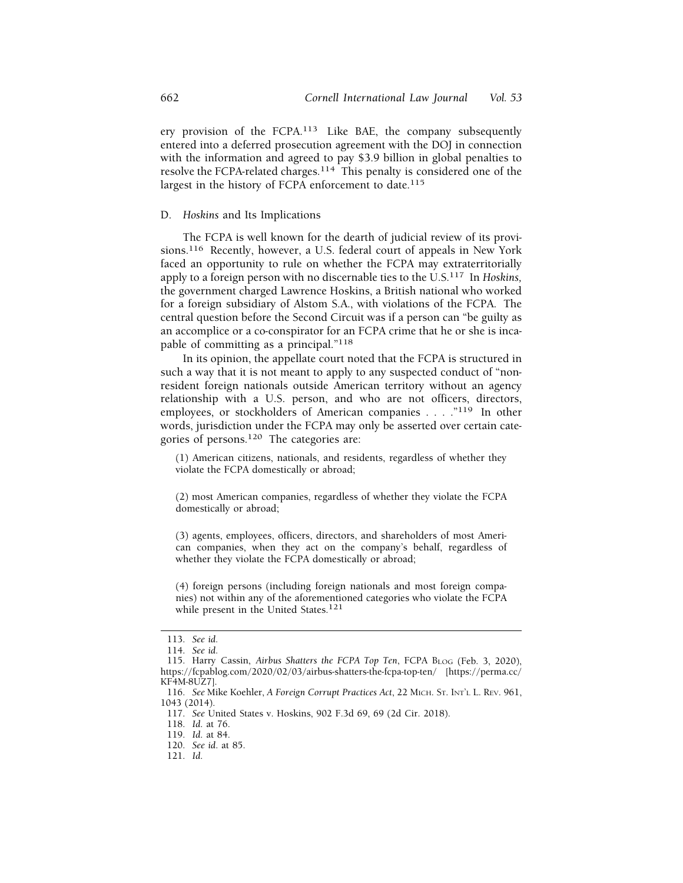<span id="page-19-0"></span>ery provision of the FCPA.113 Like BAE, the company subsequently entered into a deferred prosecution agreement with the DOJ in connection with the information and agreed to pay \$3.9 billion in global penalties to resolve the FCPA-related charges.<sup>114</sup> This penalty is considered one of the largest in the history of FCPA enforcement to date.<sup>115</sup>

#### D. *Hoskins* and Its Implications

The FCPA is well known for the dearth of judicial review of its provisions.116 Recently, however, a U.S. federal court of appeals in New York faced an opportunity to rule on whether the FCPA may extraterritorially apply to a foreign person with no discernable ties to the U.S.117 In *Hoskins,*  the government charged Lawrence Hoskins, a British national who worked for a foreign subsidiary of Alstom S.A., with violations of the FCPA. The central question before the Second Circuit was if a person can "be guilty as an accomplice or a co-conspirator for an FCPA crime that he or she is incapable of committing as a principal."118

In its opinion, the appellate court noted that the FCPA is structured in such a way that it is not meant to apply to any suspected conduct of "nonresident foreign nationals outside American territory without an agency relationship with a U.S. person, and who are not officers, directors, employees, or stockholders of American companies . . . ."119 In other words, jurisdiction under the FCPA may only be asserted over certain categories of persons.120 The categories are:

(1) American citizens, nationals, and residents, regardless of whether they violate the FCPA domestically or abroad;

(2) most American companies, regardless of whether they violate the FCPA domestically or abroad;

(3) agents, employees, officers, directors, and shareholders of most American companies, when they act on the company's behalf, regardless of whether they violate the FCPA domestically or abroad;

(4) foreign persons (including foreign nationals and most foreign companies) not within any of the aforementioned categories who violate the FCPA while present in the United States.<sup>121</sup>

121. *Id*.

<sup>113.</sup> *See id.* 

<sup>114.</sup> *See id.* 

<sup>115.</sup> Harry Cassin, *Airbus Shatters the FCPA Top Ten*, FCPA BLOG (Feb. 3, 2020), [https://fcpablog.com/2020/02/03/airbus-shatters-the-fcpa-top-ten/](https://fcpablog.com/2020/02/03/airbus-shatters-the-fcpa-top-ten) [\[https://perma.cc](https://perma.cc)/ KF4M-8UZ7].

<sup>116.</sup> *See* Mike Koehler, *A Foreign Corrupt Practices Act*, 22 MICH. ST. INT'L L. REV. 961, 1043 (2014).

<sup>117.</sup> *See* United States v. Hoskins, 902 F.3d 69, 69 (2d Cir. 2018).

<sup>118.</sup> *Id*. at 76.

<sup>119.</sup> *Id*. at 84.

<sup>120.</sup> *See id*. at 85.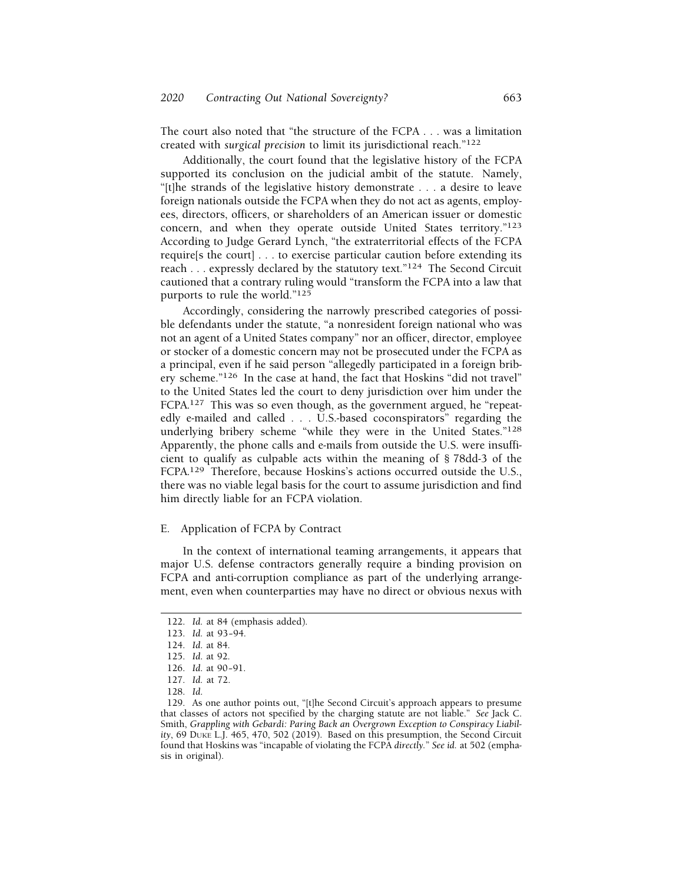The court also noted that "the structure of the FCPA . . . was a limitation created with *surgical precision* to limit its jurisdictional reach."122

Additionally, the court found that the legislative history of the FCPA supported its conclusion on the judicial ambit of the statute. Namely, "[t]he strands of the legislative history demonstrate . . . a desire to leave foreign nationals outside the FCPA when they do not act as agents, employees, directors, officers, or shareholders of an American issuer or domestic concern, and when they operate outside United States territory."123 According to Judge Gerard Lynch, "the extraterritorial effects of the FCPA require[s the court] . . . to exercise particular caution before extending its reach . . . expressly declared by the statutory text."124 The Second Circuit cautioned that a contrary ruling would "transform the FCPA into a law that purports to rule the world."125

Accordingly, considering the narrowly prescribed categories of possible defendants under the statute, "a nonresident foreign national who was not an agent of a United States company" nor an officer, director, employee or stocker of a domestic concern may not be prosecuted under the FCPA as a principal, even if he said person "allegedly participated in a foreign bribery scheme."126 In the case at hand, the fact that Hoskins "did not travel" to the United States led the court to deny jurisdiction over him under the FCPA.127 This was so even though, as the government argued, he "repeatedly e-mailed and called . . . U.S.-based coconspirators" regarding the underlying bribery scheme "while they were in the United States."128 Apparently, the phone calls and e-mails from outside the U.S. were insufficient to qualify as culpable acts within the meaning of § 78dd-3 of the FCPA.129 Therefore, because Hoskins's actions occurred outside the U.S., there was no viable legal basis for the court to assume jurisdiction and find him directly liable for an FCPA violation.

#### E. Application of FCPA by Contract

In the context of international teaming arrangements, it appears that major U.S. defense contractors generally require a binding provision on FCPA and anti-corruption compliance as part of the underlying arrangement, even when counterparties may have no direct or obvious nexus with

128. *Id*.

<sup>122.</sup> *Id.* at 84 (emphasis added).

<sup>123.</sup> *Id.* at 93-94.

<sup>124.</sup> *Id*. at 84.

<sup>125.</sup> *Id*. at 92.

<sup>126.</sup> *Id.* at 90-91.

<sup>127.</sup> *Id.* at 72.

<sup>129.</sup> As one author points out, "[t]he Second Circuit's approach appears to presume that classes of actors not specified by the charging statute are not liable." *See* Jack C. Smith, *Grappling with Gebardi: Paring Back an Overgrown Exception to Conspiracy Liability*, 69 DUKE L.J. 465, 470, 502 (2019). Based on this presumption, the Second Circuit found that Hoskins was "incapable of violating the FCPA *directly.*" *See id.* at 502 (emphasis in original).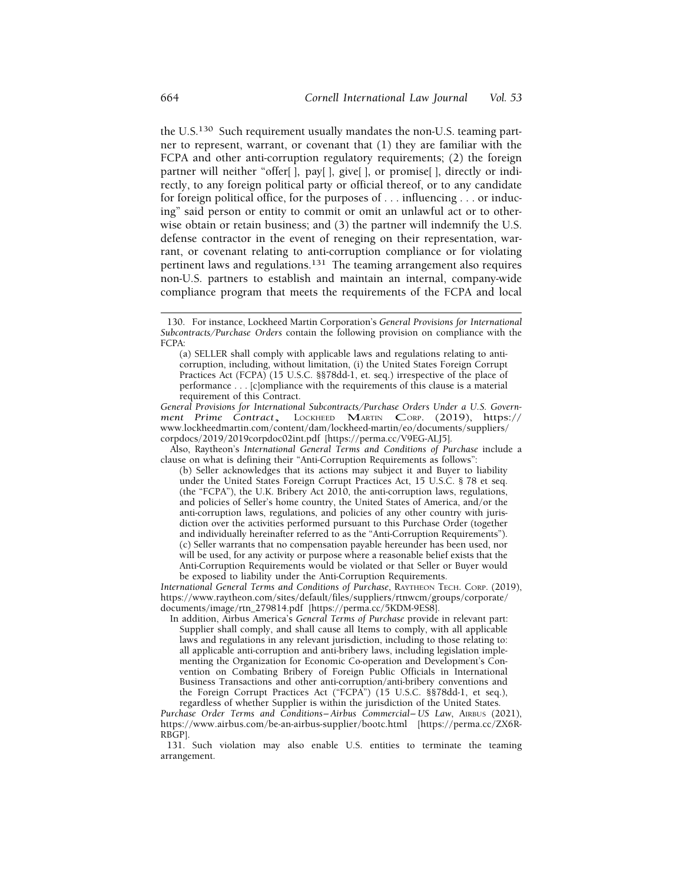the U.S.130 Such requirement usually mandates the non-U.S. teaming partner to represent, warrant, or covenant that (1) they are familiar with the FCPA and other anti-corruption regulatory requirements; (2) the foreign partner will neither "offer[ ], pay[ ], give[ ], or promise[ ], directly or indirectly, to any foreign political party or official thereof, or to any candidate for foreign political office, for the purposes of . . . influencing . . . or inducing" said person or entity to commit or omit an unlawful act or to otherwise obtain or retain business; and (3) the partner will indemnify the U.S. defense contractor in the event of reneging on their representation, warrant, or covenant relating to anti-corruption compliance or for violating pertinent laws and regulations.131 The teaming arrangement also requires non-U.S. partners to establish and maintain an internal, company-wide compliance program that meets the requirements of the FCPA and local

*General Provisions for International Subcontracts/Purchase Orders Under a U.S. Government Prime Contract*, LOCKHEED MARTIN CORP. (2019), https:// [www.lockheedmartin.com/content/dam/lockheed-martin/eo/documents/suppliers/](www.lockheedmartin.com/content/dam/lockheed-martin/eo/documents/suppliers) corpdocs/2019/2019corpdoc02int.pdf [<https://perma.cc/V9EG-ALJ5>].

Also, Raytheon's *International General Terms and Conditions of Purchase* include a clause on what is defining their "Anti-Corruption Requirements as follows":

(b) Seller acknowledges that its actions may subject it and Buyer to liability under the United States Foreign Corrupt Practices Act, 15 U.S.C. § 78 et seq. (the "FCPA"), the U.K. Bribery Act 2010, the anti-corruption laws, regulations, and policies of Seller's home country, the United States of America, and/or the anti-corruption laws, regulations, and policies of any other country with jurisdiction over the activities performed pursuant to this Purchase Order (together and individually hereinafter referred to as the "Anti-Corruption Requirements"). (c) Seller warrants that no compensation payable hereunder has been used, nor will be used, for any activity or purpose where a reasonable belief exists that the Anti-Corruption Requirements would be violated or that Seller or Buyer would be exposed to liability under the Anti-Corruption Requirements.

*International General Terms and Conditions of Purchase*, RAYTHEON TECH. CORP. (2019), <https://www.raytheon.com/sites/default/files/suppliers/rtnwcm/groups/corporate>/ documents/image/rtn\_279814.pdf [\[https://perma.cc/5KDM-9ES8\]](https://perma.cc/5KDM-9ES8).

In addition, Airbus America's *General Terms of Purchase* provide in relevant part: Supplier shall comply, and shall cause all Items to comply, with all applicable laws and regulations in any relevant jurisdiction, including to those relating to: all applicable anti-corruption and anti-bribery laws, including legislation implementing the Organization for Economic Co-operation and Development's Convention on Combating Bribery of Foreign Public Officials in International Business Transactions and other anti-corruption/anti-bribery conventions and the Foreign Corrupt Practices Act ("FCPA") (15 U.S.C. §§78dd-1, et seq.), regardless of whether Supplier is within the jurisdiction of the United States.

*Purchase Order Terms and Conditions— Airbus Commercial— US Law*, AIRBUS (2021), <https://www.airbus.com/be-an-airbus-supplier/bootc.html> [\[https://perma.cc/ZX6R-](https://perma.cc/ZX6R)RBGP].

131. Such violation may also enable U.S. entities to terminate the teaming arrangement.

<sup>130.</sup> For instance, Lockheed Martin Corporation's *General Provisions for International Subcontracts/Purchase Orders* contain the following provision on compliance with the FCPA:

<sup>(</sup>a) SELLER shall comply with applicable laws and regulations relating to anticorruption, including, without limitation, (i) the United States Foreign Corrupt Practices Act (FCPA) (15 U.S.C. §§78dd-1, et. seq.) irrespective of the place of performance . . . [c]ompliance with the requirements of this clause is a material requirement of this Contract.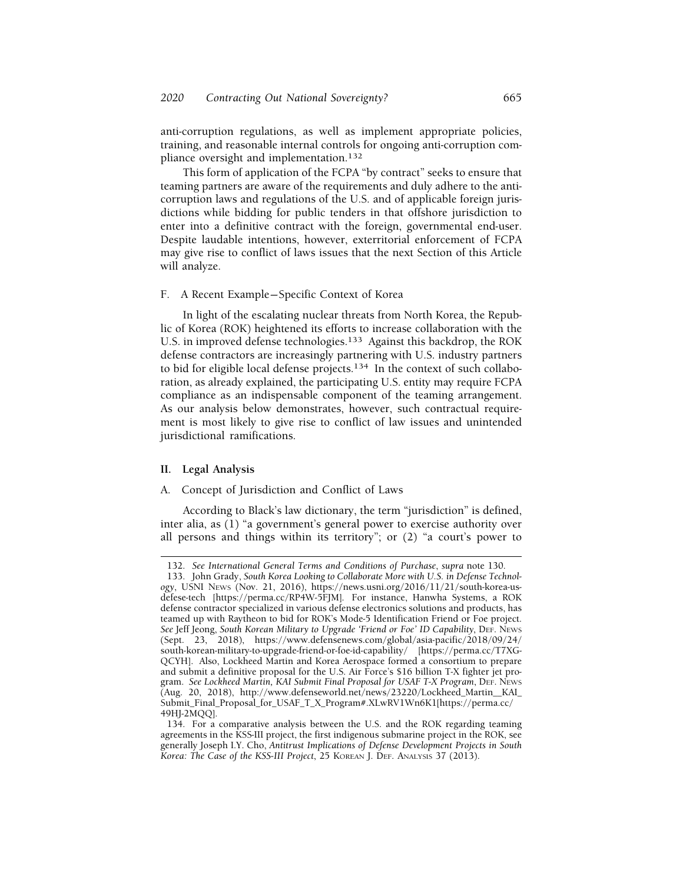anti-corruption regulations, as well as implement appropriate policies, training, and reasonable internal controls for ongoing anti-corruption compliance oversight and implementation.<sup>132</sup>

This form of application of the FCPA "by contract" seeks to ensure that teaming partners are aware of the requirements and duly adhere to the anticorruption laws and regulations of the U.S. and of applicable foreign jurisdictions while bidding for public tenders in that offshore jurisdiction to enter into a definitive contract with the foreign, governmental end-user. Despite laudable intentions, however, exterritorial enforcement of FCPA may give rise to conflict of laws issues that the next Section of this Article will analyze.

#### F. A Recent Example— Specific Context of Korea

In light of the escalating nuclear threats from North Korea, the Republic of Korea (ROK) heightened its efforts to increase collaboration with the U.S. in improved defense technologies.133 Against this backdrop, the ROK defense contractors are increasingly partnering with U.S. industry partners to bid for eligible local defense projects.<sup>134</sup> In the context of such collaboration, as already explained, the participating U.S. entity may require FCPA compliance as an indispensable component of the teaming arrangement. As our analysis below demonstrates, however, such contractual requirement is most likely to give rise to conflict of law issues and unintended jurisdictional ramifications.

#### **II. Legal Analysis**

#### A. Concept of Jurisdiction and Conflict of Laws

According to Black's law dictionary, the term "jurisdiction" is defined, inter alia, as (1) "a government's general power to exercise authority over all persons and things within its territory"; or (2) "a court's power to

<sup>132.</sup> *See International General Terms and Conditions of Purchase*, *supra* note 130.

<sup>133.</sup> John Grady, *South Korea Looking to Collaborate More with U.S. in Defense Technology*, USNI NEWS (Nov. 21, 2016), <https://news.usni.org/2016/11/21/south-korea-us>defese-tech [\[https://perma.cc/RP4W-5FJM](https://perma.cc/RP4W-5FJM)]. For instance, Hanwha Systems, a ROK defense contractor specialized in various defense electronics solutions and products, has teamed up with Raytheon to bid for ROK's Mode-5 Identification Friend or Foe project. *See* Jeff Jeong, *South Korean Military to Upgrade 'Friend or Foe' ID Capability*, DEF. NEWS (Sept. 23, 2018), <https://www.defensenews.com/global/asia-pacific/2018/09/24>/ south-korean-military-to-upgrade-friend-or-foe-id-capability/ [[https://perma.cc/T7XG-](https://perma.cc/T7XG)QCYH]. Also, Lockheed Martin and Korea Aerospace formed a consortium to prepare and submit a definitive proposal for the U.S. Air Force's \$16 billion T-X fighter jet program. *See Lockheed Martin, KAI Submit Final Proposal for USAF T-X Program*, DEF. NEWS (Aug. 20, 2018), [http://www.defenseworld.net/news/23220/Lockheed\\_Martin\\_\\_KAI](http://www.defenseworld.net/news/23220/Lockheed_Martin__KAI)\_ [Submit\\_Final\\_Proposal\\_for\\_USAF\\_T\\_X\\_Program#.XLwRV1Wn6K1\[https://perma.cc](https://Submit_Final_Proposal_for_USAF_T_X_Program#.XLwRV1Wn6K1[https://perma.cc)/ 49HJ-2MQQ].

<sup>134.</sup> For a comparative analysis between the U.S. and the ROK regarding teaming agreements in the KSS-III project, the first indigenous submarine project in the ROK, see generally Joseph I.Y. Cho, *Antitrust Implications of Defense Development Projects in South Korea: The Case of the KSS-III Project*, 25 KOREAN J. DEF. ANALYSIS 37 (2013).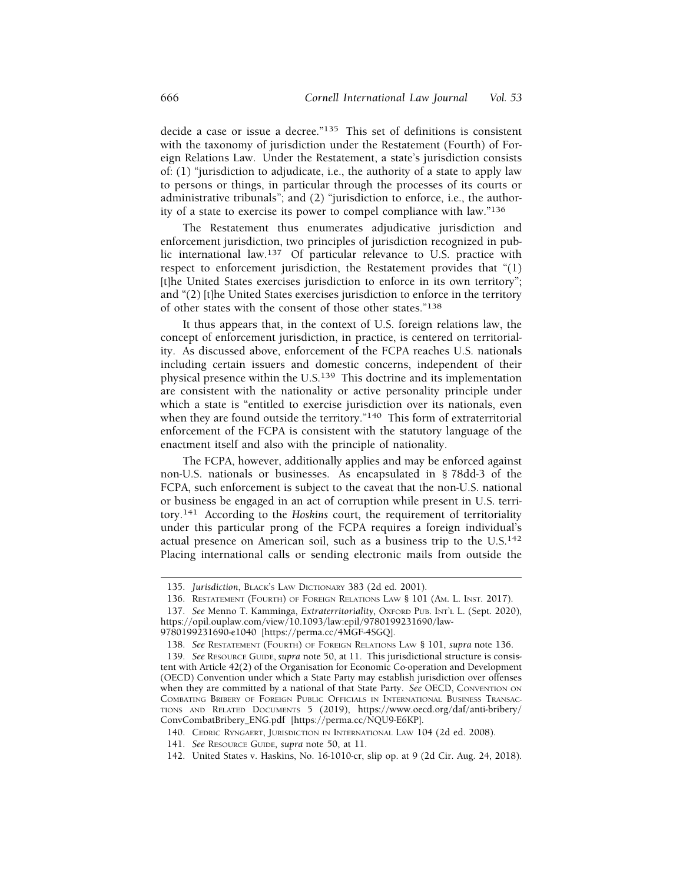decide a case or issue a decree."135 This set of definitions is consistent with the taxonomy of jurisdiction under the Restatement (Fourth) of Foreign Relations Law. Under the Restatement, a state's jurisdiction consists of:  $(1)$  "jurisdiction to adjudicate, i.e., the authority of a state to apply law to persons or things, in particular through the processes of its courts or administrative tribunals"; and (2) "jurisdiction to enforce, i.e., the authority of a state to exercise its power to compel compliance with law."136

The Restatement thus enumerates adjudicative jurisdiction and enforcement jurisdiction, two principles of jurisdiction recognized in public international law.137 Of particular relevance to U.S. practice with respect to enforcement jurisdiction, the Restatement provides that "(1) [t]he United States exercises jurisdiction to enforce in its own territory"; and "(2) [t]he United States exercises jurisdiction to enforce in the territory of other states with the consent of those other states."138

It thus appears that, in the context of U.S. foreign relations law, the concept of enforcement jurisdiction, in practice, is centered on territoriality. As discussed above, enforcement of the FCPA reaches U.S. nationals including certain issuers and domestic concerns, independent of their physical presence within the U.S.139 This doctrine and its implementation are consistent with the nationality or active personality principle under which a state is "entitled to exercise jurisdiction over its nationals, even when they are found outside the territory."<sup>140</sup> This form of extraterritorial enforcement of the FCPA is consistent with the statutory language of the enactment itself and also with the principle of nationality.

The FCPA, however, additionally applies and may be enforced against non-U.S. nationals or businesses. As encapsulated in § 78dd-3 of the FCPA, such enforcement is subject to the caveat that the non-U.S. national or business be engaged in an act of corruption while present in U.S. territory.141 According to the *Hoskins* court, the requirement of territoriality under this particular prong of the FCPA requires a foreign individual's actual presence on American soil, such as a business trip to the U.S.142 Placing international calls or sending electronic mails from outside the

<sup>135.</sup> *Jurisdiction*, BLACK'S LAW DICTIONARY 383 (2d ed. 2001).

<sup>136.</sup> RESTATEMENT (FOURTH) OF FOREIGN RELATIONS LAW § 101 (AM. L. INST. 2017).

<sup>137.</sup> *See* Menno T. Kamminga, *Extraterritoriality*, OXFORD PUB. INT'L L. (Sept. 2020), [https://opil.ouplaw.com/view/10.1093/law:epil/9780199231690/law-](https://opil.ouplaw.com/view/10.1093/law:epil/9780199231690/law)

<sup>9780199231690-</sup>e1040 [\[https://perma.cc/4MGF-4SGQ](https://perma.cc/4MGF-4SGQ)].

<sup>138.</sup> *See* RESTATEMENT (FOURTH) OF FOREIGN RELATIONS LAW § 101, *supra* note 136.

<sup>139.</sup> *See* RESOURCE GUIDE, *supra* note 50, at 11. This jurisdictional structure is consistent with Article 42(2) of the Organisation for Economic Co-operation and Development (OECD) Convention under which a State Party may establish jurisdiction over offenses when they are committed by a national of that State Party. *See* OECD, CONVENTION ON COMBATING BRIBERY OF FOREIGN PUBLIC OFFICIALS IN INTERNATIONAL BUSINESS TRANSAC-TIONS AND RELATED DOCUMENTS 5 (2019), <https://www.oecd.org/daf/anti-bribery>/ ConvCombatBribery\_ENG.pdf [<https://perma.cc/NQU9-E6KP>].

<sup>140.</sup> CEDRIC RYNGAERT, JURISDICTION IN INTERNATIONAL LAW 104 (2d ed. 2008).

<sup>141.</sup> *See* RESOURCE GUIDE, *supra* note 50, at 11.

<sup>142.</sup> United States v. Haskins, No. 16-1010-cr, slip op. at 9 (2d Cir. Aug. 24, 2018).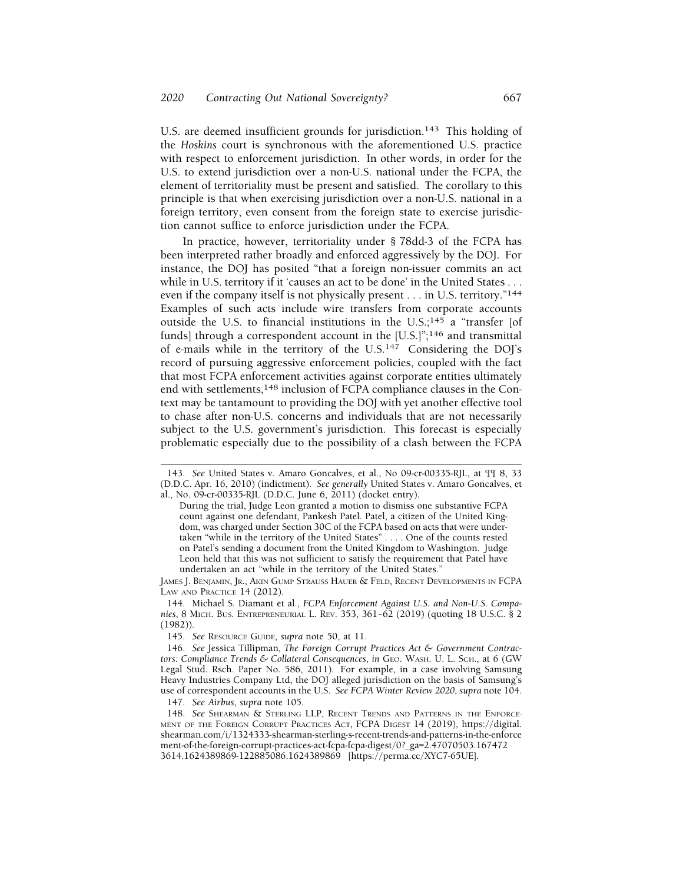U.S. are deemed insufficient grounds for jurisdiction.<sup>143</sup> This holding of the *Hoskins* court is synchronous with the aforementioned U.S. practice with respect to enforcement jurisdiction. In other words, in order for the U.S. to extend jurisdiction over a non-U.S. national under the FCPA, the element of territoriality must be present and satisfied. The corollary to this principle is that when exercising jurisdiction over a non-U.S. national in a foreign territory, even consent from the foreign state to exercise jurisdiction cannot suffice to enforce jurisdiction under the FCPA.

In practice, however, territoriality under § 78dd-3 of the FCPA has been interpreted rather broadly and enforced aggressively by the DOJ. For instance, the DOJ has posited "that a foreign non-issuer commits an act while in U.S. territory if it 'causes an act to be done' in the United States . . . even if the company itself is not physically present . . . in U.S. territory."<sup>144</sup> Examples of such acts include wire transfers from corporate accounts outside the U.S. to financial institutions in the U.S.;<sup>145</sup> a "transfer [of funds] through a correspondent account in the  $[U.S.]$ <sup>";146</sup> and transmittal of e-mails while in the territory of the U.S.147 Considering the DOJ's record of pursuing aggressive enforcement policies, coupled with the fact that most FCPA enforcement activities against corporate entities ultimately end with settlements,<sup>148</sup> inclusion of FCPA compliance clauses in the Context may be tantamount to providing the DOJ with yet another effective tool to chase after non-U.S. concerns and individuals that are not necessarily subject to the U.S. government's jurisdiction. This forecast is especially problematic especially due to the possibility of a clash between the FCPA

JAMES J. BENJAMIN, JR., AKIN GUMP STRAUSS HAUER & FELD, RECENT DEVELOPMENTS IN FCPA LAW AND PRACTICE 14 (2012).

144. Michael S. Diamant et al., *FCPA Enforcement Against U.S. and Non-U.S. Companies*, 8 MICH. BUS. ENTREPRENEURIAL L. REV. 353, 361– 62 (2019) (quoting 18 U.S.C. § 2 (1982)).

145. *See* RESOURCE GUIDE, *supra* note 50, at 11.

146. *See* Jessica Tillipman, *The Foreign Corrupt Practices Act & Government Contractors: Compliance Trends & Collateral Consequences*, *in* GEO. WASH. U. L. SCH., at 6 (GW Legal Stud. Rsch. Paper No. 586, 2011). For example, in a case involving Samsung Heavy Industries Company Ltd, the DOJ alleged jurisdiction on the basis of Samsung's use of correspondent accounts in the U.S. *See FCPA Winter Review 2020*, *supra* note 104.

147. *See Airbus*, *supra* note 105.

148. *See* SHEARMAN & STERLING LLP, RECENT TRENDS AND PATTERNS IN THE ENFORCE-MENT OF THE FOREIGN CORRUPT PRACTICES ACT, FCPA DIGEST 14 (2019), [https://digital.](https://digital) [shearman.com/i/1324333-shearman-sterling-s-recent-trends-and-patterns-in-the-enforce](https://shearman.com/i/1324333-shearman-sterling-s-recent-trends-and-patterns-in-the-enforce)  ment-of-the-foreign-corrupt-practices-act-fcpa-fcpa-digest/0?\_ga=2.47070503.167472 3614.1624389869-122885086.1624389869 [[https://perma.cc/XYC7-65UE\]](https://perma.cc/XYC7-65UE).

<sup>143.</sup> *See* United States v. Amaro Goncalves, et al., No 09-cr-00335-RJL, at ¶¶ 8, 33 (D.D.C. Apr. 16, 2010) (indictment). *See generally* United States v. Amaro Goncalves, et al., No. 09-cr-00335-RJL (D.D.C. June 6, 2011) (docket entry).

During the trial, Judge Leon granted a motion to dismiss one substantive FCPA count against one defendant, Pankesh Patel. Patel, a citizen of the United Kingdom, was charged under Section 30C of the FCPA based on acts that were undertaken "while in the territory of the United States" . . . . One of the counts rested on Patel's sending a document from the United Kingdom to Washington. Judge Leon held that this was not sufficient to satisfy the requirement that Patel have undertaken an act "while in the territory of the United States."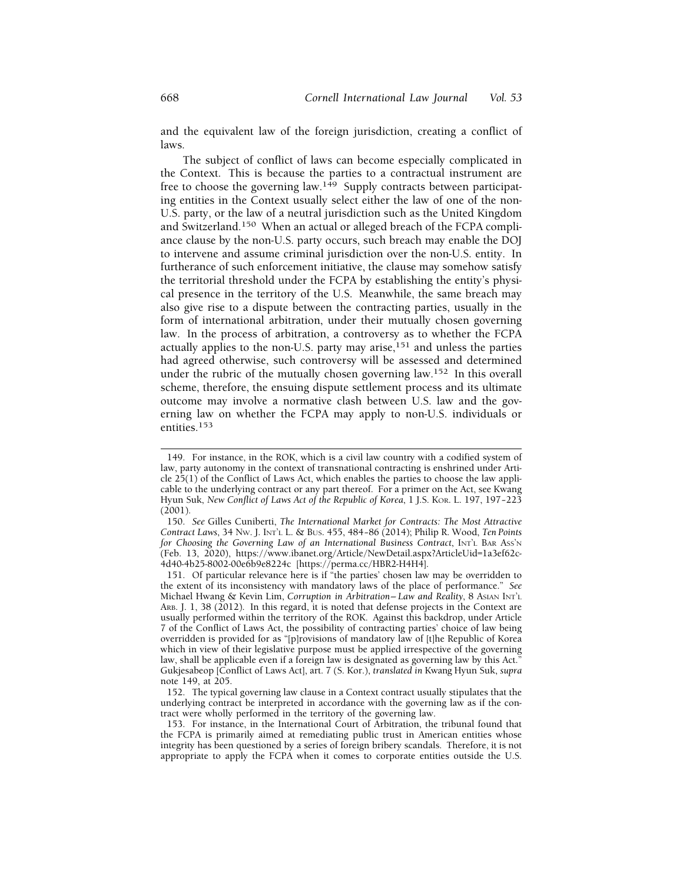and the equivalent law of the foreign jurisdiction, creating a conflict of laws.

The subject of conflict of laws can become especially complicated in the Context. This is because the parties to a contractual instrument are free to choose the governing law.149 Supply contracts between participating entities in the Context usually select either the law of one of the non-U.S. party, or the law of a neutral jurisdiction such as the United Kingdom and Switzerland.150 When an actual or alleged breach of the FCPA compliance clause by the non-U.S. party occurs, such breach may enable the DOJ to intervene and assume criminal jurisdiction over the non-U.S. entity. In furtherance of such enforcement initiative, the clause may somehow satisfy the territorial threshold under the FCPA by establishing the entity's physical presence in the territory of the U.S. Meanwhile, the same breach may also give rise to a dispute between the contracting parties, usually in the form of international arbitration, under their mutually chosen governing law. In the process of arbitration, a controversy as to whether the FCPA actually applies to the non-U.S. party may arise,151 and unless the parties had agreed otherwise, such controversy will be assessed and determined under the rubric of the mutually chosen governing law.152 In this overall scheme, therefore, the ensuing dispute settlement process and its ultimate outcome may involve a normative clash between U.S. law and the governing law on whether the FCPA may apply to non-U.S. individuals or entities.<sup>153</sup>

<sup>149.</sup> For instance, in the ROK, which is a civil law country with a codified system of law, party autonomy in the context of transnational contracting is enshrined under Article  $25(1)$  of the Conflict of Laws Act, which enables the parties to choose the law applicable to the underlying contract or any part thereof. For a primer on the Act, see Kwang Hyun Suk, *New Conflict of Laws Act of the Republic of Korea*, 1 J.S. Kor. L. 197, 197-223 (2001).

<sup>150.</sup> *See* Gilles Cuniberti, *The International Market for Contracts: The Most Attractive Contract Laws*, 34 NW. J. INT'L L. & BUS. 455, 484– 86 (2014); Philip R. Wood, *Ten Points for Choosing the Governing Law of an International Business Contract*, INT'L BAR Ass'N (Feb. 13, 2020), [https://www.ibanet.org/Article/NewDetail.aspx?ArticleUid=1a3ef62c-](https://www.ibanet.org/Article/NewDetail.aspx?ArticleUid=1a3ef62c)4d40-4b25-8002-00e6b9e8224c [\[https://perma.cc/HBR2-H4H4\]](https://perma.cc/HBR2-H4H4).

<sup>151.</sup> Of particular relevance here is if "the parties' chosen law may be overridden to the extent of its inconsistency with mandatory laws of the place of performance." *See*  Michael Hwang & Kevin Lim, *Corruption in Arbitration— Law and Reality*, 8 ASIAN INT'L ARB. J. 1, 38 (2012). In this regard, it is noted that defense projects in the Context are usually performed within the territory of the ROK. Against this backdrop, under Article 7 of the Conflict of Laws Act, the possibility of contracting parties' choice of law being overridden is provided for as "[p]rovisions of mandatory law of [t]he Republic of Korea which in view of their legislative purpose must be applied irrespective of the governing law, shall be applicable even if a foreign law is designated as governing law by this Act." Gukjesabeop [Conflict of Laws Act], art. 7 (S. Kor.), *translated in* Kwang Hyun Suk, *supra*  note 149, at 205.

<sup>152.</sup> The typical governing law clause in a Context contract usually stipulates that the underlying contract be interpreted in accordance with the governing law as if the contract were wholly performed in the territory of the governing law.

<sup>153.</sup> For instance, in the International Court of Arbitration, the tribunal found that the FCPA is primarily aimed at remediating public trust in American entities whose integrity has been questioned by a series of foreign bribery scandals. Therefore, it is not appropriate to apply the FCPA when it comes to corporate entities outside the U.S.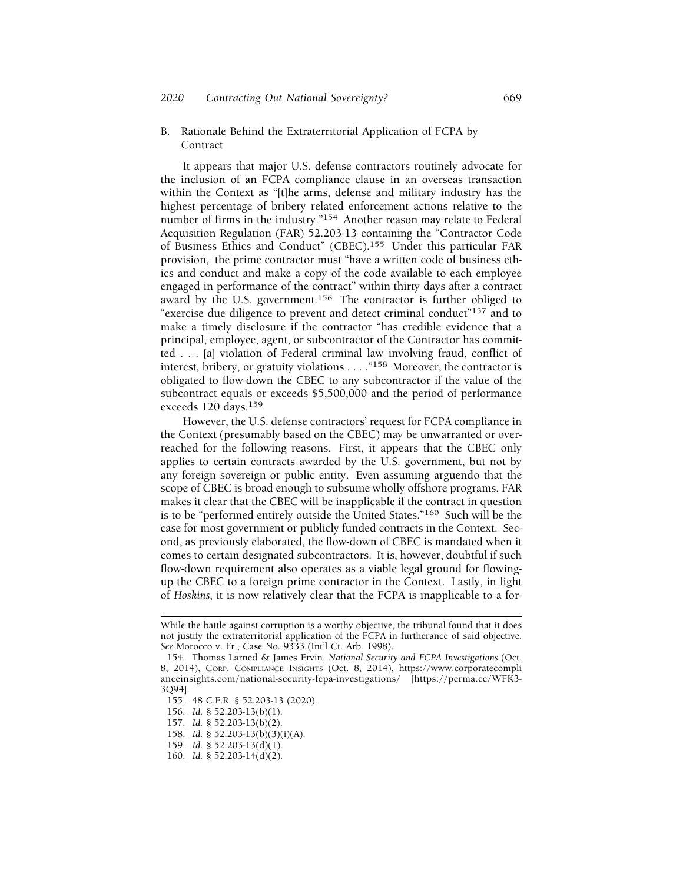# B. Rationale Behind the Extraterritorial Application of FCPA by Contract

It appears that major U.S. defense contractors routinely advocate for the inclusion of an FCPA compliance clause in an overseas transaction within the Context as "[t]he arms, defense and military industry has the highest percentage of bribery related enforcement actions relative to the number of firms in the industry."154 Another reason may relate to Federal Acquisition Regulation (FAR) 52.203-13 containing the "Contractor Code of Business Ethics and Conduct" (CBEC).155 Under this particular FAR provision, the prime contractor must "have a written code of business ethics and conduct and make a copy of the code available to each employee engaged in performance of the contract" within thirty days after a contract award by the U.S. government.<sup>156</sup> The contractor is further obliged to "exercise due diligence to prevent and detect criminal conduct"157 and to make a timely disclosure if the contractor "has credible evidence that a principal, employee, agent, or subcontractor of the Contractor has committed . . . [a] violation of Federal criminal law involving fraud, conflict of interest, bribery, or gratuity violations . . . ."158 Moreover, the contractor is obligated to flow-down the CBEC to any subcontractor if the value of the subcontract equals or exceeds \$5,500,000 and the period of performance exceeds 120 days.<sup>159</sup>

However, the U.S. defense contractors' request for FCPA compliance in the Context (presumably based on the CBEC) may be unwarranted or overreached for the following reasons. First, it appears that the CBEC only applies to certain contracts awarded by the U.S. government, but not by any foreign sovereign or public entity. Even assuming arguendo that the scope of CBEC is broad enough to subsume wholly offshore programs, FAR makes it clear that the CBEC will be inapplicable if the contract in question is to be "performed entirely outside the United States."160 Such will be the case for most government or publicly funded contracts in the Context. Second, as previously elaborated, the flow-down of CBEC is mandated when it comes to certain designated subcontractors. It is, however, doubtful if such flow-down requirement also operates as a viable legal ground for flowingup the CBEC to a foreign prime contractor in the Context. Lastly, in light of *Hoskins*, it is now relatively clear that the FCPA is inapplicable to a for-

- 155. 48 C.F.R. § 52.203-13 (2020).
- 156. *Id.* § 52.203-13(b)(1).
- 157. *Id.* § 52.203-13(b)(2).
- 158. *Id.* § 52.203-13(b)(3)(i)(A).
- 159. *Id.* § 52.203-13(d)(1).
- 160. *Id.* § 52.203-14(d)(2).

While the battle against corruption is a worthy objective, the tribunal found that it does not justify the extraterritorial application of the FCPA in furtherance of said objective. *See* Morocco v. Fr., Case No. 9333 (Int'l Ct. Arb. 1998).

<sup>154.</sup> Thomas Larned & James Ervin, *National Security and FCPA Investigations* (Oct. 8, 2014), CORP. COMPLIANCE INSIGHTS (Oct. 8, 2014), <https://www.corporatecompli> [anceinsights.com/national-security-fcpa-investigations](https://anceinsights.com/national-security-fcpa-investigations)/ [[https://perma.cc/WFK3-](https://perma.cc/WFK3) 3Q94].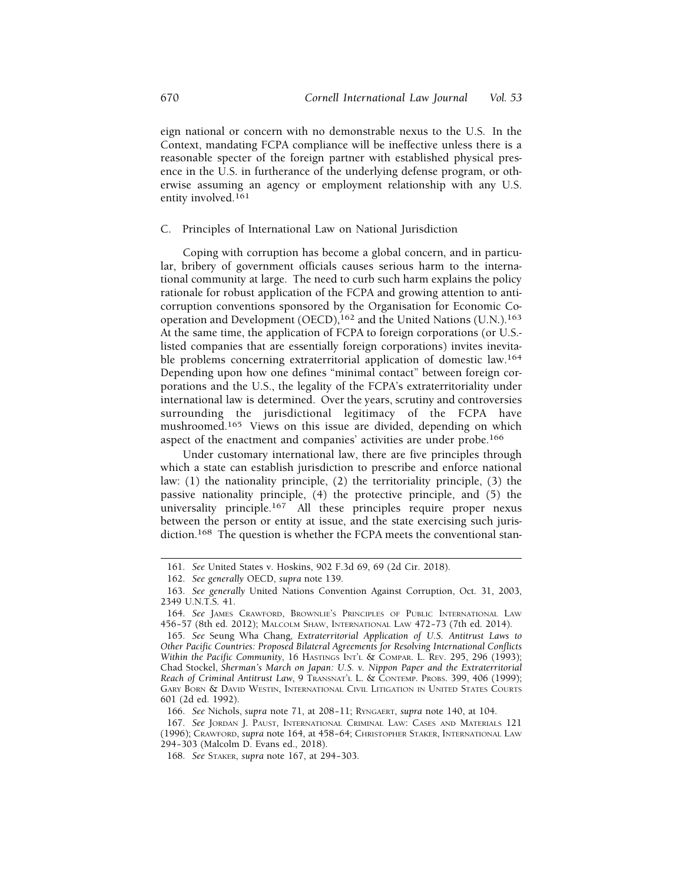<span id="page-27-0"></span>eign national or concern with no demonstrable nexus to the U.S. In the Context, mandating FCPA compliance will be ineffective unless there is a reasonable specter of the foreign partner with established physical presence in the U.S. in furtherance of the underlying defense program, or otherwise assuming an agency or employment relationship with any U.S. entity involved.<sup>161</sup>

#### C. Principles of International Law on National Jurisdiction

Coping with corruption has become a global concern, and in particular, bribery of government officials causes serious harm to the international community at large. The need to curb such harm explains the policy rationale for robust application of the FCPA and growing attention to anticorruption conventions sponsored by the Organisation for Economic Cooperation and Development (OECD),<sup>162</sup> and the United Nations (U.N.).<sup>163</sup> At the same time, the application of FCPA to foreign corporations (or U.S. listed companies that are essentially foreign corporations) invites inevitable problems concerning extraterritorial application of domestic law.<sup>164</sup> Depending upon how one defines "minimal contact" between foreign corporations and the U.S., the legality of the FCPA's extraterritoriality under international law is determined. Over the years, scrutiny and controversies surrounding the jurisdictional legitimacy of the FCPA have mushroomed.165 Views on this issue are divided, depending on which aspect of the enactment and companies' activities are under probe.<sup>166</sup>

Under customary international law, there are five principles through which a state can establish jurisdiction to prescribe and enforce national law: (1) the nationality principle, (2) the territoriality principle, (3) the passive nationality principle, (4) the protective principle, and (5) the universality principle.167 All these principles require proper nexus between the person or entity at issue, and the state exercising such jurisdiction.<sup>168</sup> The question is whether the FCPA meets the conventional stan-

<sup>161.</sup> *See* United States v. Hoskins, 902 F.3d 69, 69 (2d Cir. 2018).

<sup>162.</sup> *See generally* OECD, *supra* note 139.

<sup>163.</sup> *See generally* United Nations Convention Against Corruption, Oct. 31, 2003, 2349 U.N.T.S. 41.

<sup>164.</sup> *See* JAMES CRAWFORD, BROWNLIE'S PRINCIPLES OF PUBLIC INTERNATIONAL LAW 456– 57 (8th ed. 2012); MALCOLM SHAW, INTERNATIONAL LAW 472– 73 (7th ed. 2014).

<sup>165.</sup> *See* Seung Wha Chang, *Extraterritorial Application of U.S. Antitrust Laws to Other Pacific Countries: Proposed Bilateral Agreements for Resolving International Conflicts Within the Pacific Community*, 16 HASTINGS INT'L & COMPAR. L. REV. 295, 296 (1993); Chad Stockel, *Sherman's March on Japan: U.S. v. Nippon Paper and the Extraterritorial Reach of Criminal Antitrust Law*, 9 TRANSNAT'L L. & CONTEMP. PROBS. 399, 406 (1999); GARY BORN & DAVID WESTIN, INTERNATIONAL CIVIL LITIGATION IN UNITED STATES COURTS 601 (2d ed. 1992).

<sup>166.</sup> *See* Nichols, *supra* note 71, at 208– 11; RYNGAERT, *supra* note 140, at 104.

<sup>167.</sup> *See* JORDAN J. PAUST, INTERNATIONAL CRIMINAL LAW: CASES AND MATERIALS 121 (1996); CRAWFORD, *supra* note 164, at 458– 64; CHRISTOPHER STAKER, INTERNATIONAL LAW 294– 303 (Malcolm D. Evans ed., 2018).

<sup>168.</sup> *See* STAKER, *supra* note 167, at 294– 303.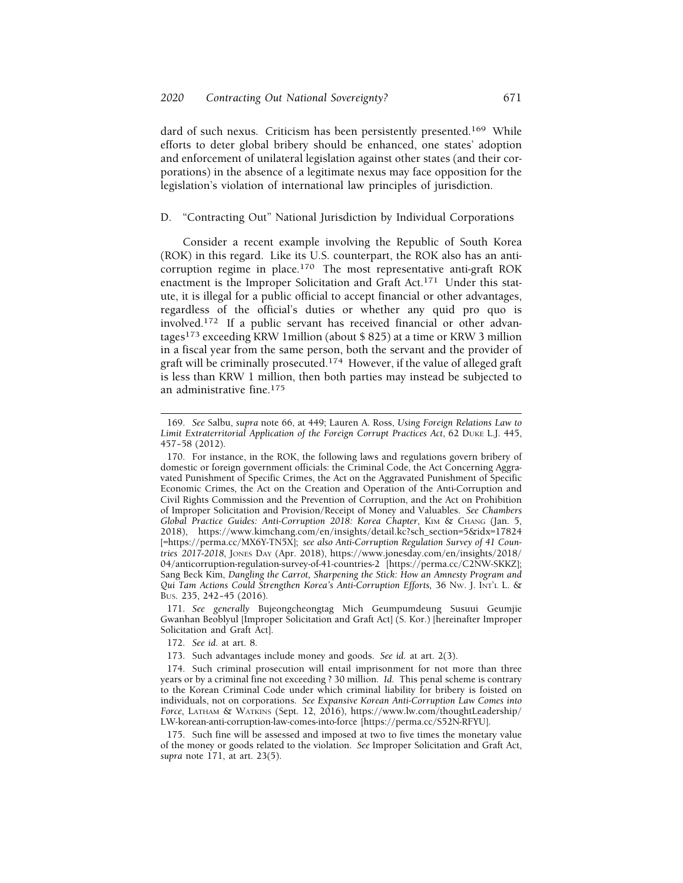dard of such nexus. Criticism has been persistently presented.<sup>169</sup> While efforts to deter global bribery should be enhanced, one states' adoption and enforcement of unilateral legislation against other states (and their corporations) in the absence of a legitimate nexus may face opposition for the legislation's violation of international law principles of jurisdiction.

## D. "Contracting Out" National Jurisdiction by Individual Corporations

Consider a recent example involving the Republic of South Korea (ROK) in this regard. Like its U.S. counterpart, the ROK also has an anticorruption regime in place.<sup>170</sup> The most representative anti-graft ROK enactment is the Improper Solicitation and Graft Act.171 Under this statute, it is illegal for a public official to accept financial or other advantages, regardless of the official's duties or whether any quid pro quo is involved.172 If a public servant has received financial or other advantages<sup>173</sup> exceeding KRW 1 million (about \$825) at a time or KRW 3 million in a fiscal year from the same person, both the servant and the provider of graft will be criminally prosecuted.<sup>174</sup> However, if the value of alleged graft is less than KRW 1 million, then both parties may instead be subjected to an administrative fine.175

171. *See generally* Bujeongcheongtag Mich Geumpumdeung Susuui Geumjie Gwanhan Beoblyul [Improper Solicitation and Graft Act] (S. Kor.) [hereinafter Improper Solicitation and Graft Act].

172. *See id*. at art. 8.

173. Such advantages include money and goods. *See id.* at art. 2(3).

<sup>169.</sup> *See* Salbu, *supra* note 66, at 449; Lauren A. Ross, *Using Foreign Relations Law to Limit Extraterritorial Application of the Foreign Corrupt Practices Act*, 62 DUKE L.J. 445, 457– 58 (2012).

<sup>170.</sup> For instance, in the ROK, the following laws and regulations govern bribery of domestic or foreign government officials: the Criminal Code, the Act Concerning Aggravated Punishment of Specific Crimes, the Act on the Aggravated Punishment of Specific Economic Crimes, the Act on the Creation and Operation of the Anti-Corruption and Civil Rights Commission and the Prevention of Corruption, and the Act on Prohibition of Improper Solicitation and Provision/Receipt of Money and Valuables. *See Chambers Global Practice Guides: Anti-Corruption 2018: Korea Chapter*, KIM & CHANG (Jan. 5, 2018), [https://www.kimchang.com/en/insights/detail.kc?sch\\_section=5&idx=17824](https://www.kimchang.com/en/insights/detail.kc?sch_section=5&idx=17824) [=[https://perma.cc/MX6Y-TN5X\]](https://perma.cc/MX6Y-TN5X); *see also Anti-Corruption Regulation Survey of 41 Countries 2017-2018*, JONES DAY (Apr. 2018), <https://www.jonesday.com/en/insights/2018>/ 04/anticorruption-regulation-survey-of-41-countries-2 [<https://perma.cc/C2NW-SKKZ>]; Sang Beck Kim, *Dangling the Carrot, Sharpening the Stick: How an Amnesty Program and Qui Tam Actions Could Strengthen Korea's Anti-Corruption Efforts,* 36 NW. J. INT'L L. & BUS*.* 235, 242– 45 (2016).

<sup>174.</sup> Such criminal prosecution will entail imprisonment for not more than three years or by a criminal fine not exceeding ? 30 million. *Id.* This penal scheme is contrary to the Korean Criminal Code under which criminal liability for bribery is foisted on individuals, not on corporations. *See Expansive Korean Anti-Corruption Law Comes into Force*, LATHAM & WATKINS (Sept. 12, 2016), <https://www.lw.com/thoughtLeadership>/ LW-korean-anti-corruption-law-comes-into-force [\[https://perma.cc/S52N-RFYU\]](https://perma.cc/S52N-RFYU).

<sup>175.</sup> Such fine will be assessed and imposed at two to five times the monetary value of the money or goods related to the violation. *See* Improper Solicitation and Graft Act, *supra* note 171, at art. 23(5).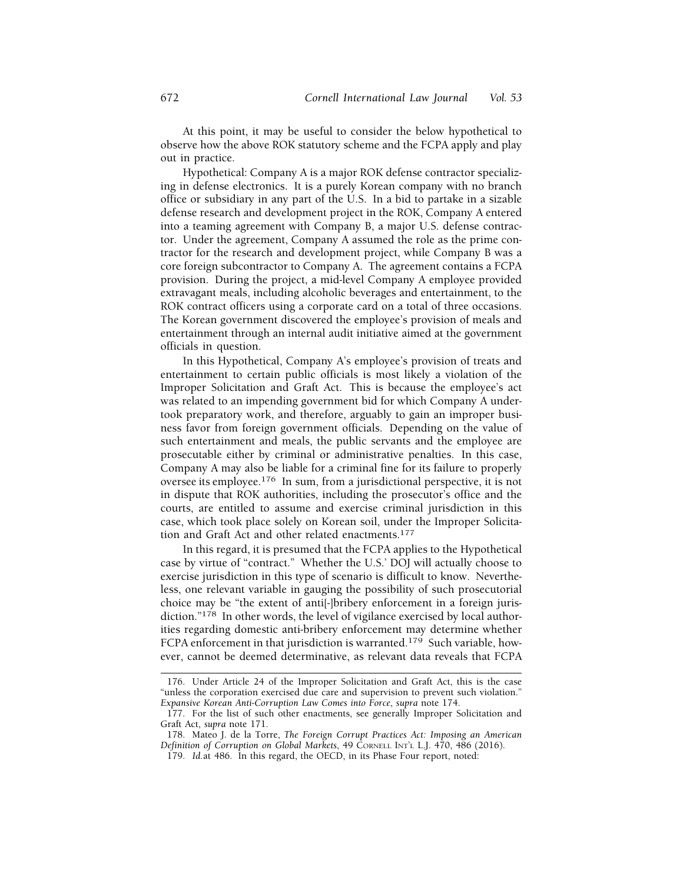At this point, it may be useful to consider the below hypothetical to observe how the above ROK statutory scheme and the FCPA apply and play out in practice.

Hypothetical: Company A is a major ROK defense contractor specializing in defense electronics. It is a purely Korean company with no branch office or subsidiary in any part of the U.S. In a bid to partake in a sizable defense research and development project in the ROK, Company A entered into a teaming agreement with Company B, a major U.S. defense contractor. Under the agreement, Company A assumed the role as the prime contractor for the research and development project, while Company B was a core foreign subcontractor to Company A. The agreement contains a FCPA provision. During the project, a mid-level Company A employee provided extravagant meals, including alcoholic beverages and entertainment, to the ROK contract officers using a corporate card on a total of three occasions. The Korean government discovered the employee's provision of meals and entertainment through an internal audit initiative aimed at the government officials in question.

In this Hypothetical, Company A's employee's provision of treats and entertainment to certain public officials is most likely a violation of the Improper Solicitation and Graft Act. This is because the employee's act was related to an impending government bid for which Company A undertook preparatory work, and therefore, arguably to gain an improper business favor from foreign government officials. Depending on the value of such entertainment and meals, the public servants and the employee are prosecutable either by criminal or administrative penalties. In this case, Company A may also be liable for a criminal fine for its failure to properly oversee its employee.176 In sum, from a jurisdictional perspective, it is not in dispute that ROK authorities, including the prosecutor's office and the courts, are entitled to assume and exercise criminal jurisdiction in this case, which took place solely on Korean soil, under the Improper Solicitation and Graft Act and other related enactments.177

In this regard, it is presumed that the FCPA applies to the Hypothetical case by virtue of "contract." Whether the U.S.' DOJ will actually choose to exercise jurisdiction in this type of scenario is difficult to know. Nevertheless, one relevant variable in gauging the possibility of such prosecutorial choice may be "the extent of anti[-]bribery enforcement in a foreign jurisdiction."178 In other words, the level of vigilance exercised by local authorities regarding domestic anti-bribery enforcement may determine whether FCPA enforcement in that jurisdiction is warranted.<sup>179</sup> Such variable, however, cannot be deemed determinative, as relevant data reveals that FCPA

<sup>176.</sup> Under Article 24 of the Improper Solicitation and Graft Act, this is the case "unless the corporation exercised due care and supervision to prevent such violation." *Expansive Korean Anti-Corruption Law Comes into Force*, *supra* note 174.

<sup>177.</sup> For the list of such other enactments, see generally Improper Solicitation and Graft Act, *supra* note 171.

<sup>178.</sup> Mateo J. de la Torre, *The Foreign Corrupt Practices Act: Imposing an American Definition of Corruption on Global Markets*, 49 CORNELL INT'L L.J. 470, 486 (2016).

<sup>179.</sup> *Id.*at 486*.* In this regard, the OECD, in its Phase Four report, noted: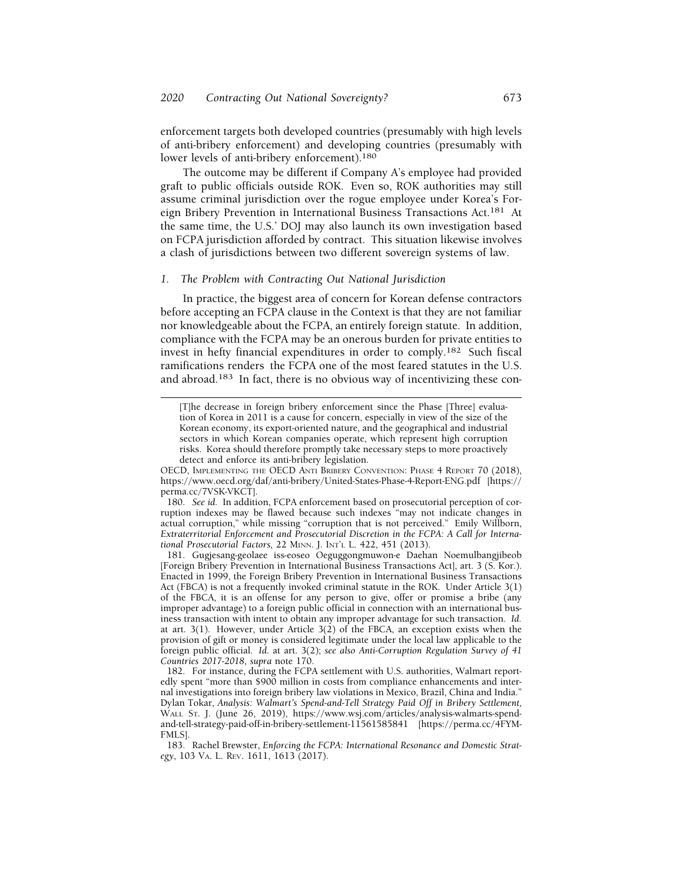enforcement targets both developed countries (presumably with high levels of anti-bribery enforcement) and developing countries (presumably with lower levels of anti-bribery enforcement).<sup>180</sup>

The outcome may be different if Company A's employee had provided graft to public officials outside ROK. Even so, ROK authorities may still assume criminal jurisdiction over the rogue employee under Korea's Foreign Bribery Prevention in International Business Transactions Act.181 At the same time, the U.S.' DOJ may also launch its own investigation based on FCPA jurisdiction afforded by contract. This situation likewise involves a clash of jurisdictions between two different sovereign systems of law.

#### *1. The Problem with Contracting Out National Jurisdiction*

In practice, the biggest area of concern for Korean defense contractors before accepting an FCPA clause in the Context is that they are not familiar nor knowledgeable about the FCPA, an entirely foreign statute. In addition, compliance with the FCPA may be an onerous burden for private entities to invest in hefty financial expenditures in order to comply.182 Such fiscal ramifications renders the FCPA one of the most feared statutes in the U.S. and abroad.<sup>183</sup> In fact, there is no obvious way of incentivizing these con-

[T]he decrease in foreign bribery enforcement since the Phase [Three] evaluation of Korea in 2011 is a cause for concern, especially in view of the size of the Korean economy, its export-oriented nature, and the geographical and industrial sectors in which Korean companies operate, which represent high corruption risks. Korea should therefore promptly take necessary steps to more proactively detect and enforce its anti-bribery legislation.

OECD, IMPLEMENTING THE OECD ANTI BRIBERY CONVENTION: PHASE 4 REPORT 70 (2018), <https://www.oecd.org/daf/anti-bribery/United-States-Phase-4-Report-ENG.pdf>[https:// perma.cc/7VSK-VKCT].

180. *See id.* In addition, FCPA enforcement based on prosecutorial perception of corruption indexes may be flawed because such indexes "may not indicate changes in actual corruption," while missing "corruption that is not perceived." Emily Willborn, *Extraterritorial Enforcement and Prosecutorial Discretion in the FCPA: A Call for International Prosecutorial Factors*, 22 MINN. J. INT'L L. 422, 451 (2013).

181. Gugjesang-geolaee iss-eoseo Oeguggongmuwon-e Daehan Noemulbangjibeob [Foreign Bribery Prevention in International Business Transactions Act], art. 3 (S. Kor.). Enacted in 1999, the Foreign Bribery Prevention in International Business Transactions Act (FBCA) is not a frequently invoked criminal statute in the ROK. Under Article 3(1) of the FBCA, it is an offense for any person to give, offer or promise a bribe (any improper advantage) to a foreign public official in connection with an international business transaction with intent to obtain any improper advantage for such transaction. *Id.*  at art.  $3(1)$ . However, under Article  $3(2)$  of the FBCA, an exception exists when the provision of gift or money is considered legitimate under the local law applicable to the foreign public official. *Id.* at art. 3(2); *see also Anti-Corruption Regulation Survey of 41 Countries 2017-2018*, *supra* note 170.

182. For instance, during the FCPA settlement with U.S. authorities, Walmart reportedly spent "more than \$900 million in costs from compliance enhancements and internal investigations into foreign bribery law violations in Mexico, Brazil, China and India." Dylan Tokar, *Analysis: Walmart's Spend-and-Tell Strategy Paid Off in Bribery Settlement*, WALL ST. J. (June 26, 2019), <https://www.wsj.com/articles/analysis-walmarts-spend>and-tell-strategy-paid-off-in-bribery-settlement-11561585841 [[https://perma.cc/4FYM-](https://perma.cc/4FYM)FMLS].

183. Rachel Brewster, *Enforcing the FCPA: International Resonance and Domestic Strategy*, 103 VA. L. REV. 1611, 1613 (2017).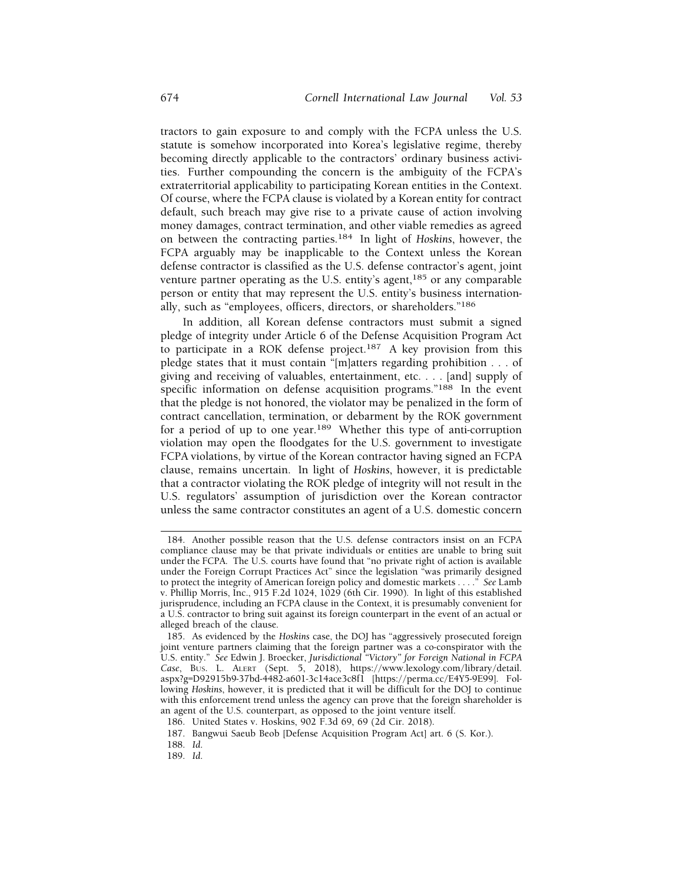tractors to gain exposure to and comply with the FCPA unless the U.S. statute is somehow incorporated into Korea's legislative regime, thereby becoming directly applicable to the contractors' ordinary business activities. Further compounding the concern is the ambiguity of the FCPA's extraterritorial applicability to participating Korean entities in the Context. Of course, where the FCPA clause is violated by a Korean entity for contract default, such breach may give rise to a private cause of action involving money damages, contract termination, and other viable remedies as agreed on between the contracting parties.184 In light of *Hoskins*, however, the FCPA arguably may be inapplicable to the Context unless the Korean defense contractor is classified as the U.S. defense contractor's agent, joint venture partner operating as the U.S. entity's agent,<sup>185</sup> or any comparable person or entity that may represent the U.S. entity's business internationally, such as "employees, officers, directors, or shareholders."186

In addition, all Korean defense contractors must submit a signed pledge of integrity under Article 6 of the Defense Acquisition Program Act to participate in a ROK defense project.187 A key provision from this pledge states that it must contain "[m]atters regarding prohibition . . . of giving and receiving of valuables, entertainment, etc. . . . [and] supply of specific information on defense acquisition programs."<sup>188</sup> In the event that the pledge is not honored, the violator may be penalized in the form of contract cancellation, termination, or debarment by the ROK government for a period of up to one year.189 Whether this type of anti-corruption violation may open the floodgates for the U.S. government to investigate FCPA violations, by virtue of the Korean contractor having signed an FCPA clause, remains uncertain. In light of *Hoskins*, however, it is predictable that a contractor violating the ROK pledge of integrity will not result in the U.S. regulators' assumption of jurisdiction over the Korean contractor unless the same contractor constitutes an agent of a U.S. domestic concern

<sup>184.</sup> Another possible reason that the U.S. defense contractors insist on an FCPA compliance clause may be that private individuals or entities are unable to bring suit under the FCPA. The U.S. courts have found that "no private right of action is available under the Foreign Corrupt Practices Act" since the legislation "was primarily designed to protect the integrity of American foreign policy and domestic markets . . . ." *See* Lamb v. Phillip Morris, Inc., 915 F.2d 1024, 1029 (6th Cir. 1990). In light of this established jurisprudence, including an FCPA clause in the Context, it is presumably convenient for a U.S. contractor to bring suit against its foreign counterpart in the event of an actual or alleged breach of the clause.

<sup>185.</sup> As evidenced by the *Hoskins* case, the DOJ has "aggressively prosecuted foreign joint venture partners claiming that the foreign partner was a co-conspirator with the U.S. entity." *See* Edwin J. Broecker, *Jurisdictional "Victory" for Foreign National in FCPA Case*, BUS. L. ALERT (Sept. 5, 2018), [https://www.lexology.com/library/detail.](https://www.lexology.com/library/detail) aspx?g=D92915b9-37bd-4482-a601-3c14ace3c8f1 [\[https://perma.cc/E4Y5-9E99](https://perma.cc/E4Y5-9E99)]. Following *Hoskins*, however, it is predicted that it will be difficult for the DOJ to continue with this enforcement trend unless the agency can prove that the foreign shareholder is an agent of the U.S. counterpart, as opposed to the joint venture itself.

<sup>186.</sup> United States v. Hoskins, 902 F.3d 69, 69 (2d Cir. 2018).

<sup>187.</sup> Bangwui Saeub Beob [Defense Acquisition Program Act] art. 6 (S. Kor.).

<sup>188.</sup> *Id*.

<sup>189.</sup> *Id*.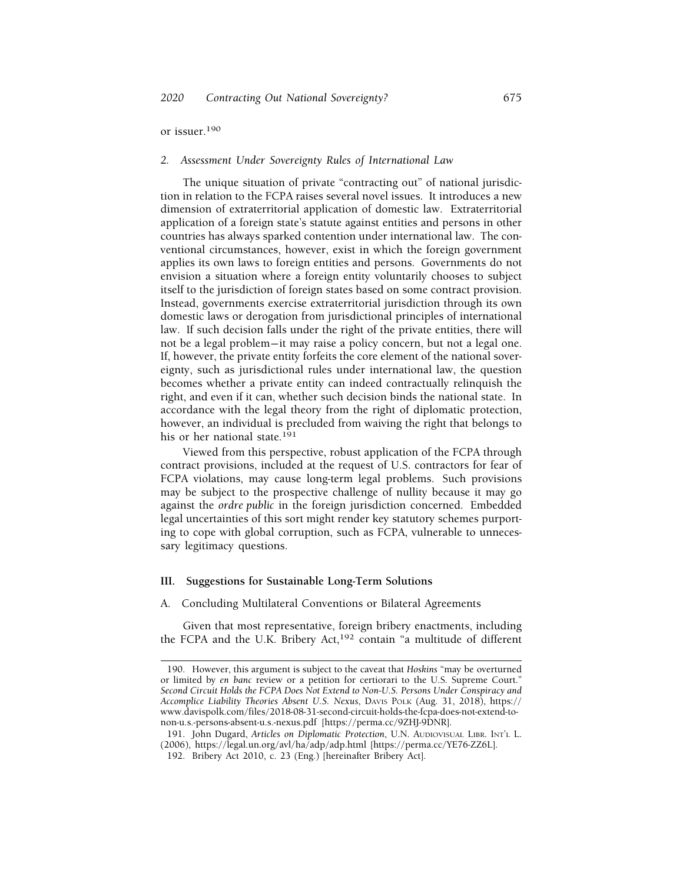or issuer.<sup>190</sup>

#### *2. Assessment Under Sovereignty Rules of International Law*

The unique situation of private "contracting out" of national jurisdiction in relation to the FCPA raises several novel issues. It introduces a new dimension of extraterritorial application of domestic law. Extraterritorial application of a foreign state's statute against entities and persons in other countries has always sparked contention under international law. The conventional circumstances, however, exist in which the foreign government applies its own laws to foreign entities and persons. Governments do not envision a situation where a foreign entity voluntarily chooses to subject itself to the jurisdiction of foreign states based on some contract provision. Instead, governments exercise extraterritorial jurisdiction through its own domestic laws or derogation from jurisdictional principles of international law. If such decision falls under the right of the private entities, there will not be a legal problem— it may raise a policy concern, but not a legal one. If, however, the private entity forfeits the core element of the national sovereignty, such as jurisdictional rules under international law, the question becomes whether a private entity can indeed contractually relinquish the right, and even if it can, whether such decision binds the national state. In accordance with the legal theory from the right of diplomatic protection, however, an individual is precluded from waiving the right that belongs to his or her national state.<sup>191</sup>

Viewed from this perspective, robust application of the FCPA through contract provisions, included at the request of U.S. contractors for fear of FCPA violations, may cause long-term legal problems. Such provisions may be subject to the prospective challenge of nullity because it may go against the *ordre public* in the foreign jurisdiction concerned. Embedded legal uncertainties of this sort might render key statutory schemes purporting to cope with global corruption, such as FCPA, vulnerable to unnecessary legitimacy questions.

#### **III. Suggestions for Sustainable Long-Term Solutions**

A. Concluding Multilateral Conventions or Bilateral Agreements

Given that most representative, foreign bribery enactments, including the FCPA and the U.K. Bribery Act,192 contain "a multitude of different

<sup>190.</sup> However, this argument is subject to the caveat that *Hoskins* "may be overturned or limited by *en banc* review or a petition for certiorari to the U.S. Supreme Court." *Second Circuit Holds the FCPA Does Not Extend to Non-U.S. Persons Under Conspiracy and Accomplice Liability Theories Absent U.S. Nexus*, DAVIS POLK (Aug. 31, 2018), https:// <www.davispolk.com/files/2018-08-31-second-circuit-holds-the-fcpa-does-not-extend-to>non-u.s.-persons-absent-u.s.-nexus.pdf [\[https://perma.cc/9ZHJ-9DNR\]](https://perma.cc/9ZHJ-9DNR).

<sup>191.</sup> John Dugard, *Articles on Diplomatic Protection*, U.N. AUDIOVISUAL LIBR. INT'L L. (2006), <https://legal.un.org/avl/ha/adp/adp.html>[[https://perma.cc/YE76-ZZ6L\]](https://perma.cc/YE76-ZZ6L). 192. Bribery Act 2010, c. 23 (Eng.) [hereinafter Bribery Act].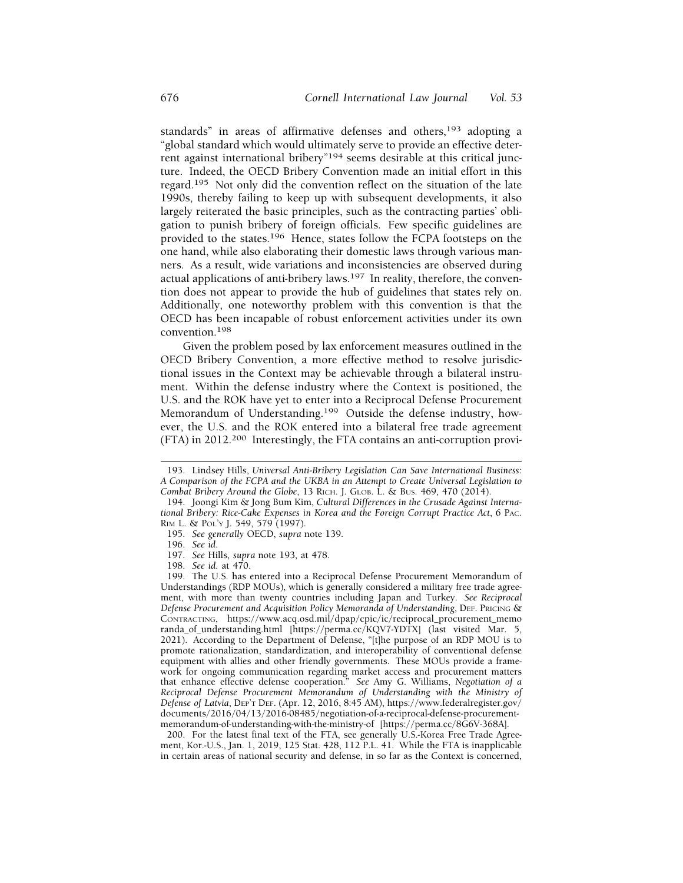standards" in areas of affirmative defenses and others,<sup>193</sup> adopting a "global standard which would ultimately serve to provide an effective deterrent against international bribery"<sup>194</sup> seems desirable at this critical juncture. Indeed, the OECD Bribery Convention made an initial effort in this regard.195 Not only did the convention reflect on the situation of the late 1990s, thereby failing to keep up with subsequent developments, it also largely reiterated the basic principles, such as the contracting parties' obligation to punish bribery of foreign officials. Few specific guidelines are provided to the states.<sup>196</sup> Hence, states follow the FCPA footsteps on the one hand, while also elaborating their domestic laws through various manners. As a result, wide variations and inconsistencies are observed during actual applications of anti-bribery laws.<sup>197</sup> In reality, therefore, the convention does not appear to provide the hub of guidelines that states rely on. Additionally, one noteworthy problem with this convention is that the OECD has been incapable of robust enforcement activities under its own convention.198

Given the problem posed by lax enforcement measures outlined in the OECD Bribery Convention, a more effective method to resolve jurisdictional issues in the Context may be achievable through a bilateral instrument. Within the defense industry where the Context is positioned, the U.S. and the ROK have yet to enter into a Reciprocal Defense Procurement Memorandum of Understanding.<sup>199</sup> Outside the defense industry, however, the U.S. and the ROK entered into a bilateral free trade agreement (FTA) in 2012.200 Interestingly, the FTA contains an anti-corruption provi-

200. For the latest final text of the FTA, see generally U.S.-Korea Free Trade Agreement, Kor.-U.S., Jan. 1, 2019, 125 Stat. 428, 112 P.L. 41. While the FTA is inapplicable in certain areas of national security and defense, in so far as the Context is concerned,

<sup>193.</sup> Lindsey Hills, *Universal Anti-Bribery Legislation Can Save International Business: A Comparison of the FCPA and the UKBA in an Attempt to Create Universal Legislation to Combat Bribery Around the Globe*, 13 RICH. J. GLOB. L. & BUS. 469, 470 (2014).

<sup>194.</sup> Joongi Kim & Jong Bum Kim, *Cultural Differences in the Crusade Against International Bribery: Rice-Cake Expenses in Korea and the Foreign Corrupt Practice Act*, 6 PAC. RIM L. & POL'Y J. 549, 579 (1997).

<sup>195.</sup> *See generally* OECD, *supra* note 139.

<sup>196.</sup> *See id.* 

<sup>197.</sup> *See* Hills, *supra* note 193, at 478.

<sup>198.</sup> *See id.* at 470.

<sup>199.</sup> The U.S. has entered into a Reciprocal Defense Procurement Memorandum of Understandings (RDP MOUs), which is generally considered a military free trade agreement, with more than twenty countries including Japan and Turkey. *See Reciprocal Defense Procurement and Acquisition Policy Memoranda of Understanding*, DEF. PRICING & CONTRACTING, [https://www.acq.osd.mil/dpap/cpic/ic/reciprocal\\_procurement\\_memo](https://www.acq.osd.mil/dpap/cpic/ic/reciprocal_procurement_memo) randa\_of\_understanding.html [\[https://perma.cc/KQV7-YDTX\]](https://perma.cc/KQV7-YDTX) (last visited Mar. 5, 2021). According to the Department of Defense, "[t]he purpose of an RDP MOU is to promote rationalization, standardization, and interoperability of conventional defense equipment with allies and other friendly governments. These MOUs provide a framework for ongoing communication regarding market access and procurement matters that enhance effective defense cooperation." *See* Amy G. Williams, *Negotiation of a Reciprocal Defense Procurement Memorandum of Understanding with the Ministry of Defense of Latvia*, DEP'T DEF. (Apr. 12, 2016, 8:45 AM),<https://www.federalregister.gov>/ documents/2016/04/13/2016-08485/negotiation-of-a-reciprocal-defense-procurementmemorandum-of-understanding-with-the-ministry-of [\[https://perma.cc/8G6V-368A](https://perma.cc/8G6V-368A)].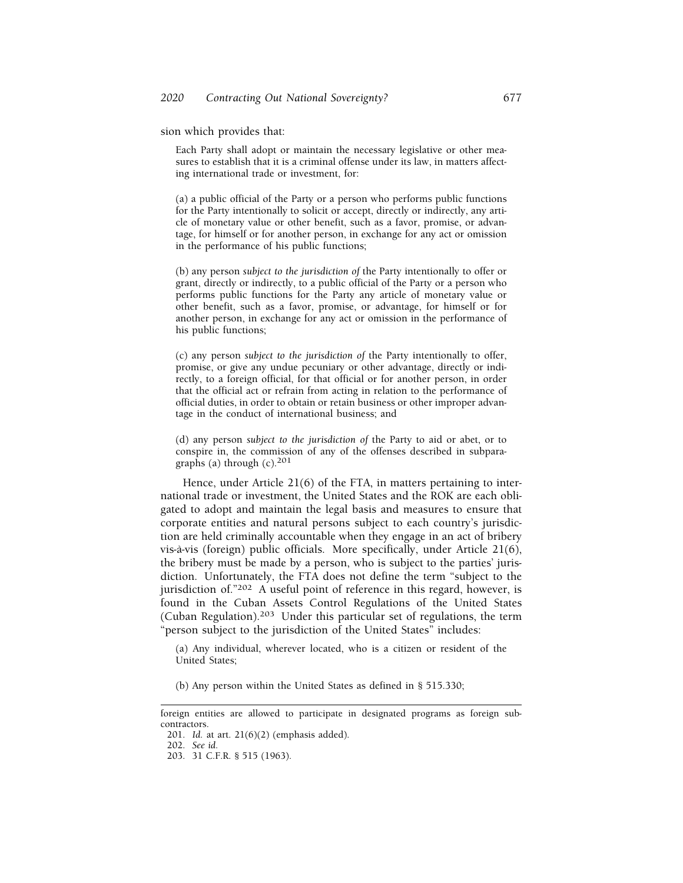sion which provides that:

Each Party shall adopt or maintain the necessary legislative or other measures to establish that it is a criminal offense under its law, in matters affecting international trade or investment, for:

(a) a public official of the Party or a person who performs public functions for the Party intentionally to solicit or accept, directly or indirectly, any article of monetary value or other benefit, such as a favor, promise, or advantage, for himself or for another person, in exchange for any act or omission in the performance of his public functions;

(b) any person *subject to the jurisdiction of* the Party intentionally to offer or grant, directly or indirectly, to a public official of the Party or a person who performs public functions for the Party any article of monetary value or other benefit, such as a favor, promise, or advantage, for himself or for another person, in exchange for any act or omission in the performance of his public functions;

(c) any person *subject to the jurisdiction of* the Party intentionally to offer, promise, or give any undue pecuniary or other advantage, directly or indirectly, to a foreign official, for that official or for another person, in order that the official act or refrain from acting in relation to the performance of official duties, in order to obtain or retain business or other improper advantage in the conduct of international business; and

(d) any person *subject to the jurisdiction of* the Party to aid or abet, or to conspire in, the commission of any of the offenses described in subparagraphs (a) through (c).  $201$ 

Hence, under Article 21(6) of the FTA, in matters pertaining to international trade or investment, the United States and the ROK are each obligated to adopt and maintain the legal basis and measures to ensure that corporate entities and natural persons subject to each country's jurisdiction are held criminally accountable when they engage in an act of bribery vis-à-vis (foreign) public officials. More specifically, under Article 21(6), the bribery must be made by a person, who is subject to the parties' jurisdiction. Unfortunately, the FTA does not define the term "subject to the jurisdiction of."202 A useful point of reference in this regard, however, is found in the Cuban Assets Control Regulations of the United States (Cuban Regulation).203 Under this particular set of regulations, the term "person subject to the jurisdiction of the United States" includes:

(a) Any individual, wherever located, who is a citizen or resident of the United States;

(b) Any person within the United States as defined in § 515.330;

foreign entities are allowed to participate in designated programs as foreign subcontractors.

<sup>201.</sup> *Id.* at art. 21(6)(2) (emphasis added).

<sup>202.</sup> *See id.* 

<sup>203. 31</sup> C.F.R. § 515 (1963).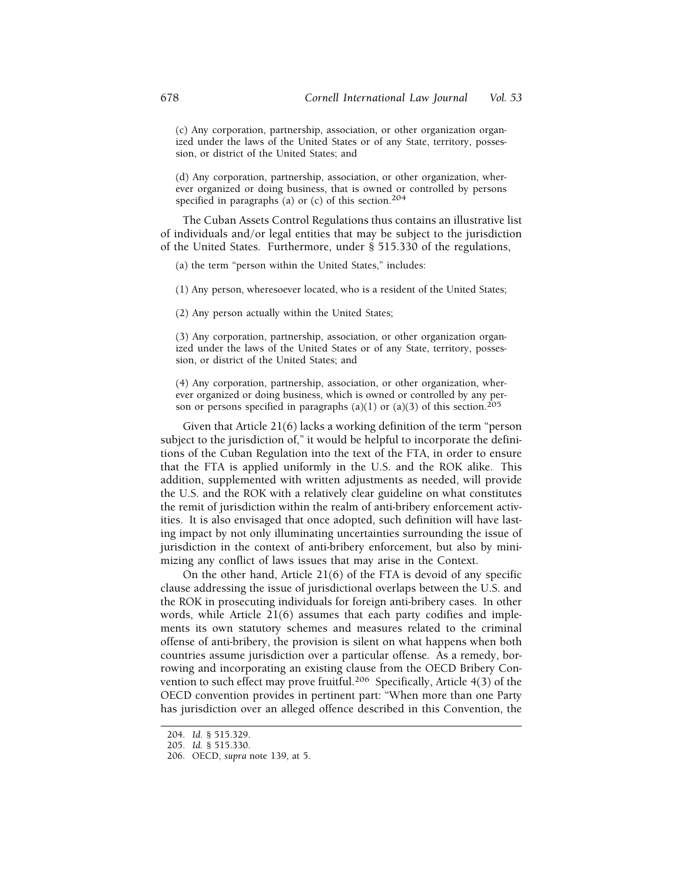(c) Any corporation, partnership, association, or other organization organized under the laws of the United States or of any State, territory, possession, or district of the United States; and

(d) Any corporation, partnership, association, or other organization, wherever organized or doing business, that is owned or controlled by persons specified in paragraphs (a) or (c) of this section.<sup>204</sup>

The Cuban Assets Control Regulations thus contains an illustrative list of individuals and/or legal entities that may be subject to the jurisdiction of the United States. Furthermore, under § 515.330 of the regulations,

(a) the term "person within the United States," includes:

(1) Any person, wheresoever located, who is a resident of the United States;

(2) Any person actually within the United States;

(3) Any corporation, partnership, association, or other organization organized under the laws of the United States or of any State, territory, possession, or district of the United States; and

(4) Any corporation, partnership, association, or other organization, wherever organized or doing business, which is owned or controlled by any person or persons specified in paragraphs (a)(1) or (a)(3) of this section.<sup>205</sup>

Given that Article 21(6) lacks a working definition of the term "person subject to the jurisdiction of," it would be helpful to incorporate the definitions of the Cuban Regulation into the text of the FTA, in order to ensure that the FTA is applied uniformly in the U.S. and the ROK alike. This addition, supplemented with written adjustments as needed, will provide the U.S. and the ROK with a relatively clear guideline on what constitutes the remit of jurisdiction within the realm of anti-bribery enforcement activities. It is also envisaged that once adopted, such definition will have lasting impact by not only illuminating uncertainties surrounding the issue of jurisdiction in the context of anti-bribery enforcement, but also by minimizing any conflict of laws issues that may arise in the Context.

On the other hand, Article 21(6) of the FTA is devoid of any specific clause addressing the issue of jurisdictional overlaps between the U.S. and the ROK in prosecuting individuals for foreign anti-bribery cases. In other words, while Article 21(6) assumes that each party codifies and implements its own statutory schemes and measures related to the criminal offense of anti-bribery, the provision is silent on what happens when both countries assume jurisdiction over a particular offense. As a remedy, borrowing and incorporating an existing clause from the OECD Bribery Convention to such effect may prove fruitful.<sup>206</sup> Specifically, Article 4(3) of the OECD convention provides in pertinent part: "When more than one Party has jurisdiction over an alleged offence described in this Convention, the

<sup>204.</sup> *Id.* § 515.329.

<sup>205.</sup> *Id.* § 515.330.

<sup>206.</sup> OECD, *supra* note 139, at 5.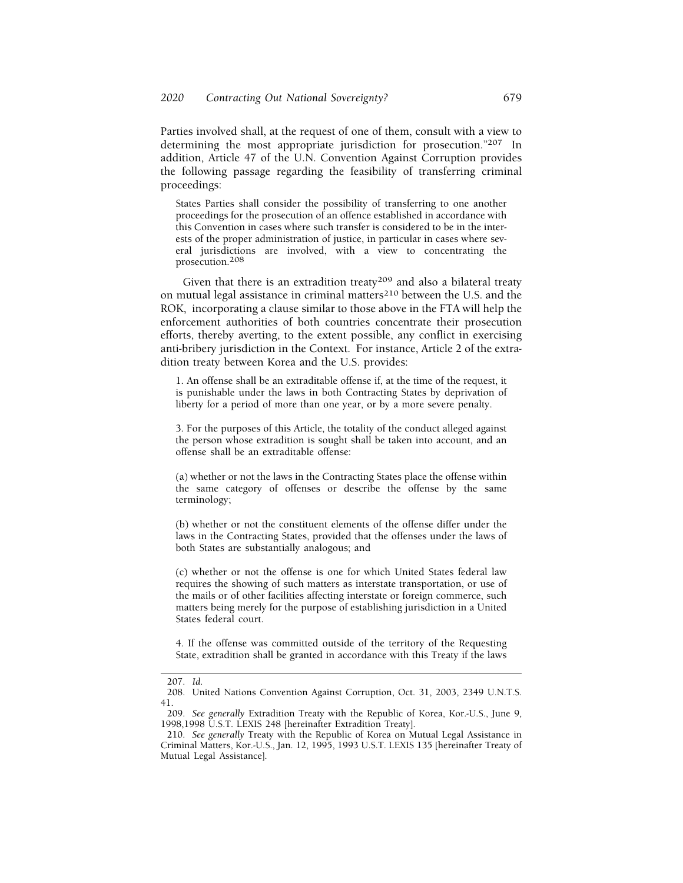Parties involved shall, at the request of one of them, consult with a view to determining the most appropriate jurisdiction for prosecution."207 In addition, Article 47 of the U.N. Convention Against Corruption provides the following passage regarding the feasibility of transferring criminal proceedings:

States Parties shall consider the possibility of transferring to one another proceedings for the prosecution of an offence established in accordance with this Convention in cases where such transfer is considered to be in the interests of the proper administration of justice, in particular in cases where several jurisdictions are involved, with a view to concentrating the prosecution.208

Given that there is an extradition treaty<sup>209</sup> and also a bilateral treaty on mutual legal assistance in criminal matters<sup>210</sup> between the U.S. and the ROK, incorporating a clause similar to those above in the FTA will help the enforcement authorities of both countries concentrate their prosecution efforts, thereby averting, to the extent possible, any conflict in exercising anti-bribery jurisdiction in the Context. For instance, Article 2 of the extradition treaty between Korea and the U.S. provides:

1. An offense shall be an extraditable offense if, at the time of the request, it is punishable under the laws in both Contracting States by deprivation of liberty for a period of more than one year, or by a more severe penalty.

3. For the purposes of this Article, the totality of the conduct alleged against the person whose extradition is sought shall be taken into account, and an offense shall be an extraditable offense:

(a) whether or not the laws in the Contracting States place the offense within the same category of offenses or describe the offense by the same terminology;

(b) whether or not the constituent elements of the offense differ under the laws in the Contracting States, provided that the offenses under the laws of both States are substantially analogous; and

(c) whether or not the offense is one for which United States federal law requires the showing of such matters as interstate transportation, or use of the mails or of other facilities affecting interstate or foreign commerce, such matters being merely for the purpose of establishing jurisdiction in a United States federal court.

4. If the offense was committed outside of the territory of the Requesting State, extradition shall be granted in accordance with this Treaty if the laws

<sup>207.</sup> *Id*.

<sup>208.</sup> United Nations Convention Against Corruption, Oct. 31, 2003, 2349 U.N.T.S. 41.

<sup>209.</sup> *See generally* Extradition Treaty with the Republic of Korea, Kor.-U.S., June 9, 1998,1998 U.S.T. LEXIS 248 [hereinafter Extradition Treaty].

<sup>210.</sup> *See generally* Treaty with the Republic of Korea on Mutual Legal Assistance in Criminal Matters, Kor.-U.S., Jan. 12, 1995, 1993 U.S.T. LEXIS 135 [hereinafter Treaty of Mutual Legal Assistance].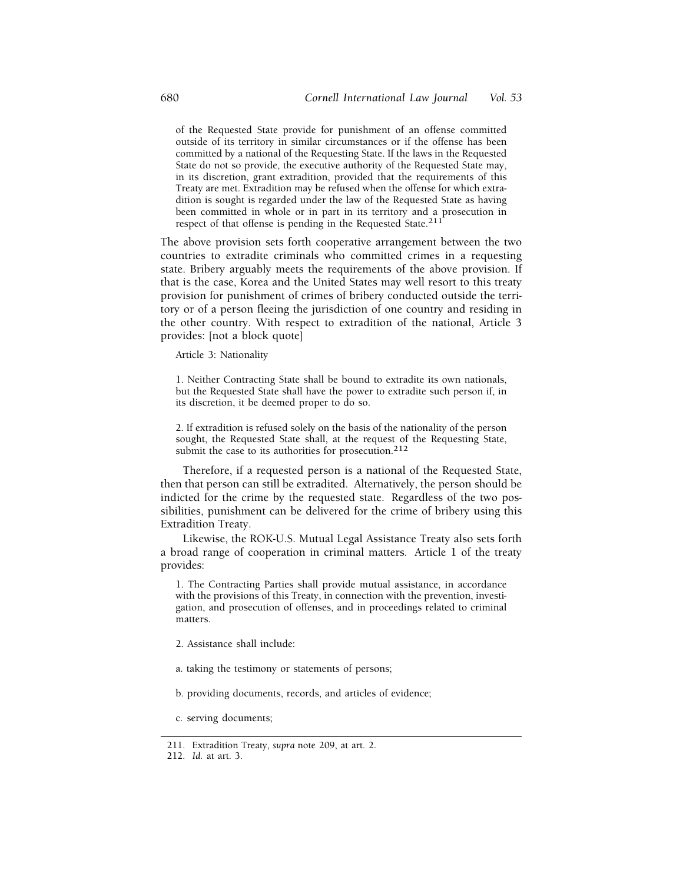of the Requested State provide for punishment of an offense committed outside of its territory in similar circumstances or if the offense has been committed by a national of the Requesting State. If the laws in the Requested State do not so provide, the executive authority of the Requested State may, in its discretion, grant extradition, provided that the requirements of this Treaty are met. Extradition may be refused when the offense for which extradition is sought is regarded under the law of the Requested State as having been committed in whole or in part in its territory and a prosecution in respect of that offense is pending in the Requested State.<sup>211</sup>

The above provision sets forth cooperative arrangement between the two countries to extradite criminals who committed crimes in a requesting state. Bribery arguably meets the requirements of the above provision. If that is the case, Korea and the United States may well resort to this treaty provision for punishment of crimes of bribery conducted outside the territory or of a person fleeing the jurisdiction of one country and residing in the other country. With respect to extradition of the national, Article 3 provides: [not a block quote]

Article 3: Nationality

1. Neither Contracting State shall be bound to extradite its own nationals, but the Requested State shall have the power to extradite such person if, in its discretion, it be deemed proper to do so.

2. If extradition is refused solely on the basis of the nationality of the person sought, the Requested State shall, at the request of the Requesting State, submit the case to its authorities for prosecution.<sup>212</sup>

Therefore, if a requested person is a national of the Requested State, then that person can still be extradited. Alternatively, the person should be indicted for the crime by the requested state. Regardless of the two possibilities, punishment can be delivered for the crime of bribery using this Extradition Treaty.

Likewise, the ROK-U.S. Mutual Legal Assistance Treaty also sets forth a broad range of cooperation in criminal matters. Article 1 of the treaty provides:

1. The Contracting Parties shall provide mutual assistance, in accordance with the provisions of this Treaty, in connection with the prevention, investigation, and prosecution of offenses, and in proceedings related to criminal matters.

2. Assistance shall include:

a. taking the testimony or statements of persons;

b. providing documents, records, and articles of evidence;

c. serving documents;

<sup>211.</sup> Extradition Treaty, *supra* note 209, at art. 2.

<sup>212.</sup> *Id.* at art. 3.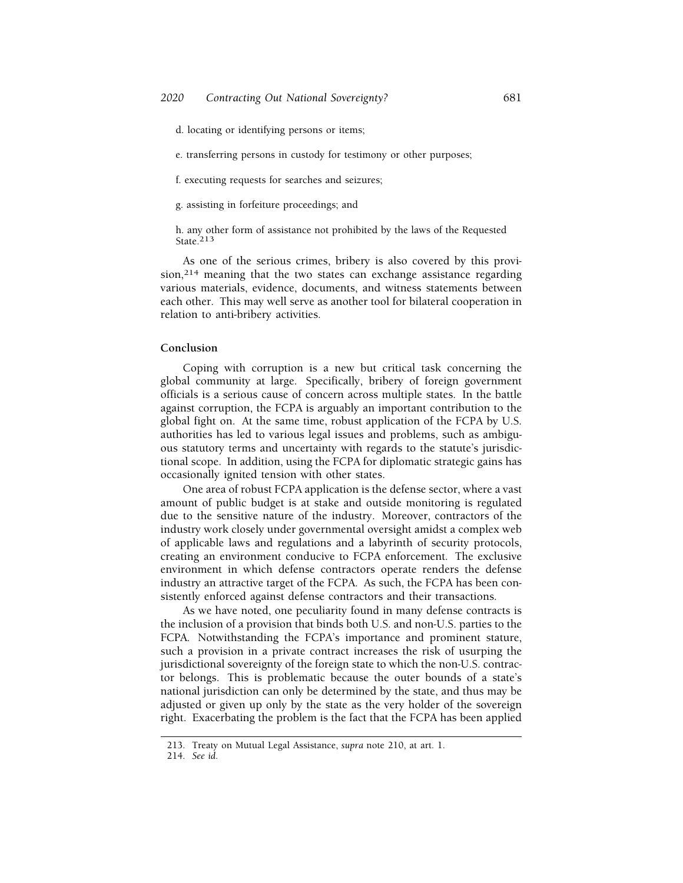d. locating or identifying persons or items;

e. transferring persons in custody for testimony or other purposes;

f. executing requests for searches and seizures;

g. assisting in forfeiture proceedings; and

h. any other form of assistance not prohibited by the laws of the Requested State.<sup>213</sup>

As one of the serious crimes, bribery is also covered by this provi $sion, <sup>214</sup>$  meaning that the two states can exchange assistance regarding various materials, evidence, documents, and witness statements between each other. This may well serve as another tool for bilateral cooperation in relation to anti-bribery activities.

#### **Conclusion**

Coping with corruption is a new but critical task concerning the global community at large. Specifically, bribery of foreign government officials is a serious cause of concern across multiple states. In the battle against corruption, the FCPA is arguably an important contribution to the global fight on. At the same time, robust application of the FCPA by U.S. authorities has led to various legal issues and problems, such as ambiguous statutory terms and uncertainty with regards to the statute's jurisdictional scope. In addition, using the FCPA for diplomatic strategic gains has occasionally ignited tension with other states.

One area of robust FCPA application is the defense sector, where a vast amount of public budget is at stake and outside monitoring is regulated due to the sensitive nature of the industry. Moreover, contractors of the industry work closely under governmental oversight amidst a complex web of applicable laws and regulations and a labyrinth of security protocols, creating an environment conducive to FCPA enforcement. The exclusive environment in which defense contractors operate renders the defense industry an attractive target of the FCPA. As such, the FCPA has been consistently enforced against defense contractors and their transactions.

As we have noted, one peculiarity found in many defense contracts is the inclusion of a provision that binds both U.S. and non-U.S. parties to the FCPA. Notwithstanding the FCPA's importance and prominent stature, such a provision in a private contract increases the risk of usurping the jurisdictional sovereignty of the foreign state to which the non-U.S. contractor belongs. This is problematic because the outer bounds of a state's national jurisdiction can only be determined by the state, and thus may be adjusted or given up only by the state as the very holder of the sovereign right. Exacerbating the problem is the fact that the FCPA has been applied

<sup>213.</sup> Treaty on Mutual Legal Assistance, *supra* note 210, at art. 1.